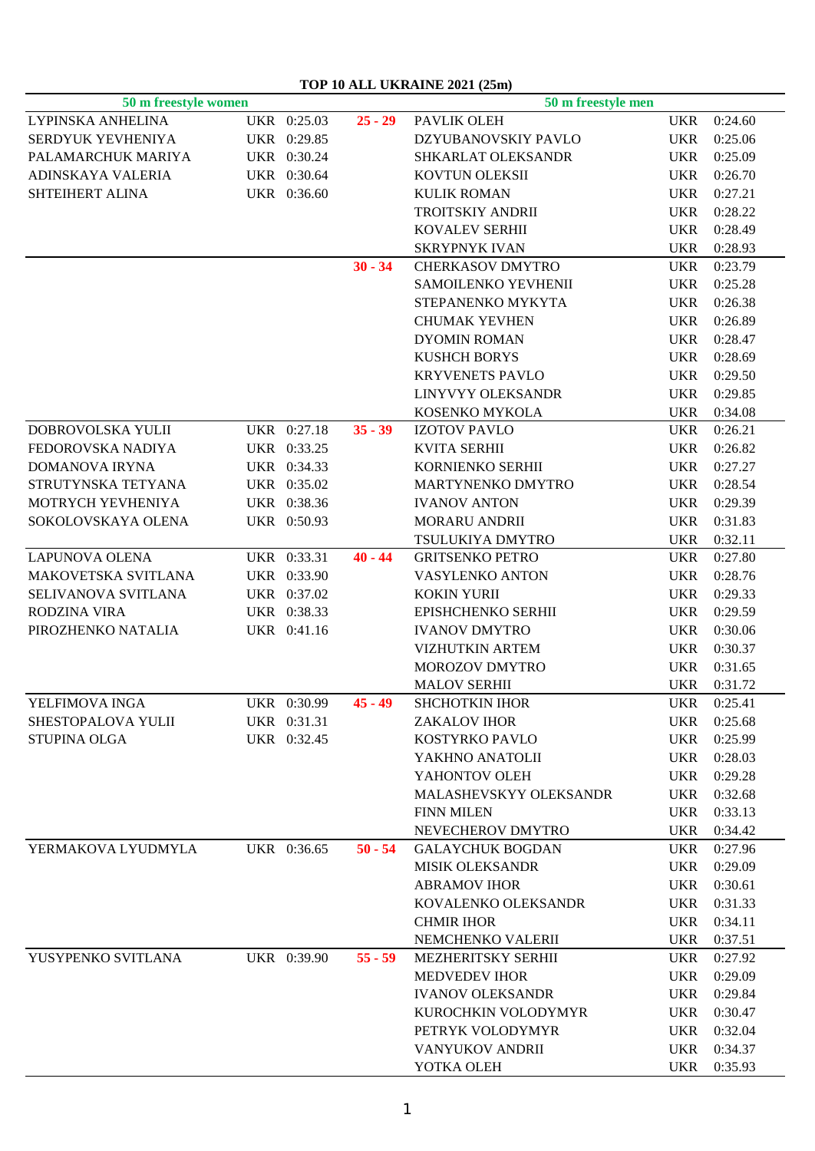## **TOP 10 ALL UKRAINE 2021 (25m)**

| 50 m freestyle women |             |           | 50 m freestyle men                      |            |             |  |
|----------------------|-------------|-----------|-----------------------------------------|------------|-------------|--|
| LYPINSKA ANHELINA    | UKR 0:25.03 | $25 - 29$ | PAVLIK OLEH                             | <b>UKR</b> | 0:24.60     |  |
| SERDYUK YEVHENIYA    | UKR 0:29.85 |           | DZYUBANOVSKIY PAVLO                     | <b>UKR</b> | 0:25.06     |  |
| PALAMARCHUK MARIYA   | UKR 0:30.24 |           | SHKARLAT OLEKSANDR                      | <b>UKR</b> | 0:25.09     |  |
| ADINSKAYA VALERIA    | UKR 0:30.64 |           | KOVTUN OLEKSII                          | <b>UKR</b> | 0:26.70     |  |
| SHTEIHERT ALINA      | UKR 0:36.60 |           | <b>KULIK ROMAN</b>                      | <b>UKR</b> | 0:27.21     |  |
|                      |             |           | TROITSKIY ANDRII                        | <b>UKR</b> | 0:28.22     |  |
|                      |             |           | <b>KOVALEV SERHII</b>                   | <b>UKR</b> | 0:28.49     |  |
|                      |             |           | <b>SKRYPNYK IVAN</b>                    | <b>UKR</b> | 0:28.93     |  |
|                      |             | $30 - 34$ | <b>CHERKASOV DMYTRO</b>                 | <b>UKR</b> | 0:23.79     |  |
|                      |             |           | SAMOILENKO YEVHENII                     | <b>UKR</b> | 0:25.28     |  |
|                      |             |           | STEPANENKO MYKYTA                       | <b>UKR</b> | 0:26.38     |  |
|                      |             |           | <b>CHUMAK YEVHEN</b>                    | <b>UKR</b> | 0:26.89     |  |
|                      |             |           | <b>DYOMIN ROMAN</b>                     | <b>UKR</b> | 0:28.47     |  |
|                      |             |           | <b>KUSHCH BORYS</b>                     | <b>UKR</b> | 0:28.69     |  |
|                      |             |           | <b>KRYVENETS PAVLO</b>                  | <b>UKR</b> | 0:29.50     |  |
|                      |             |           | LINYVYY OLEKSANDR                       | <b>UKR</b> | 0:29.85     |  |
|                      |             |           |                                         | <b>UKR</b> |             |  |
| DOBROVOLSKA YULII    | UKR 0:27.18 | $35 - 39$ | KOSENKO MYKOLA<br><b>IZOTOV PAVLO</b>   |            | 0:34.08     |  |
|                      |             |           |                                         | <b>UKR</b> | 0:26.21     |  |
| FEDOROVSKA NADIYA    | UKR 0:33.25 |           | <b>KVITA SERHII</b><br>KORNIENKO SERHII | <b>UKR</b> | 0:26.82     |  |
| DOMANOVA IRYNA       | UKR 0:34.33 |           |                                         | <b>UKR</b> | 0:27.27     |  |
| STRUTYNSKA TETYANA   | UKR 0:35.02 |           | MARTYNENKO DMYTRO                       | <b>UKR</b> | 0:28.54     |  |
| MOTRYCH YEVHENIYA    | UKR 0:38.36 |           | <b>IVANOV ANTON</b>                     | <b>UKR</b> | 0:29.39     |  |
| SOKOLOVSKAYA OLENA   | UKR 0:50.93 |           | <b>MORARU ANDRII</b>                    | <b>UKR</b> | 0:31.83     |  |
|                      |             |           | TSULUKIYA DMYTRO                        | <b>UKR</b> | 0:32.11     |  |
| LAPUNOVA OLENA       | UKR 0:33.31 | $40 - 44$ | <b>GRITSENKO PETRO</b>                  | <b>UKR</b> | 0:27.80     |  |
| MAKOVETSKA SVITLANA  | UKR 0:33.90 |           | VASYLENKO ANTON                         | <b>UKR</b> | 0:28.76     |  |
| SELIVANOVA SVITLANA  | UKR 0:37.02 |           | <b>KOKIN YURII</b>                      | <b>UKR</b> | 0:29.33     |  |
| RODZINA VIRA         | UKR 0:38.33 |           | EPISHCHENKO SERHII                      | <b>UKR</b> | 0:29.59     |  |
| PIROZHENKO NATALIA   | UKR 0:41.16 |           | <b>IVANOV DMYTRO</b>                    | <b>UKR</b> | 0:30.06     |  |
|                      |             |           | <b>VIZHUTKIN ARTEM</b>                  | <b>UKR</b> | 0:30.37     |  |
|                      |             |           | MOROZOV DMYTRO                          | <b>UKR</b> | 0:31.65     |  |
|                      |             |           | <b>MALOV SERHII</b>                     | <b>UKR</b> | 0:31.72     |  |
| YELFIMOVA INGA       | UKR 0:30.99 | $45 - 49$ | <b>SHCHOTKIN IHOR</b>                   | <b>UKR</b> | 0:25.41     |  |
| SHESTOPALOVA YULII   | UKR 0:31.31 |           | ZAKALOV IHOR                            |            | UKR 0:25.68 |  |
| <b>STUPINA OLGA</b>  | UKR 0:32.45 |           | KOSTYRKO PAVLO                          | <b>UKR</b> | 0:25.99     |  |
|                      |             |           | YAKHNO ANATOLII                         | <b>UKR</b> | 0:28.03     |  |
|                      |             |           | YAHONTOV OLEH                           | <b>UKR</b> | 0:29.28     |  |
|                      |             |           | MALASHEVSKYY OLEKSANDR                  | <b>UKR</b> | 0:32.68     |  |
|                      |             |           | <b>FINN MILEN</b>                       | <b>UKR</b> | 0:33.13     |  |
|                      |             |           | NEVECHEROV DMYTRO                       | <b>UKR</b> | 0:34.42     |  |
| YERMAKOVA LYUDMYLA   | UKR 0:36.65 | $50 - 54$ | <b>GALAYCHUK BOGDAN</b>                 | <b>UKR</b> | 0:27.96     |  |
|                      |             |           | <b>MISIK OLEKSANDR</b>                  | <b>UKR</b> | 0:29.09     |  |
|                      |             |           | <b>ABRAMOV IHOR</b>                     | <b>UKR</b> | 0:30.61     |  |
|                      |             |           | KOVALENKO OLEKSANDR                     | <b>UKR</b> | 0:31.33     |  |
|                      |             |           | <b>CHMIR IHOR</b>                       | <b>UKR</b> | 0:34.11     |  |
|                      |             |           | NEMCHENKO VALERII                       | <b>UKR</b> | 0:37.51     |  |
| YUSYPENKO SVITLANA   | UKR 0:39.90 | $55 - 59$ | MEZHERITSKY SERHII                      | <b>UKR</b> | 0:27.92     |  |
|                      |             |           | <b>MEDVEDEV IHOR</b>                    | <b>UKR</b> | 0:29.09     |  |
|                      |             |           | <b>IVANOV OLEKSANDR</b>                 | <b>UKR</b> | 0:29.84     |  |
|                      |             |           | KUROCHKIN VOLODYMYR                     | <b>UKR</b> | 0:30.47     |  |
|                      |             |           | PETRYK VOLODYMYR                        | <b>UKR</b> | 0:32.04     |  |
|                      |             |           | VANYUKOV ANDRII                         | UKR        | 0:34.37     |  |
|                      |             |           | YOTKA OLEH                              |            | UKR 0:35.93 |  |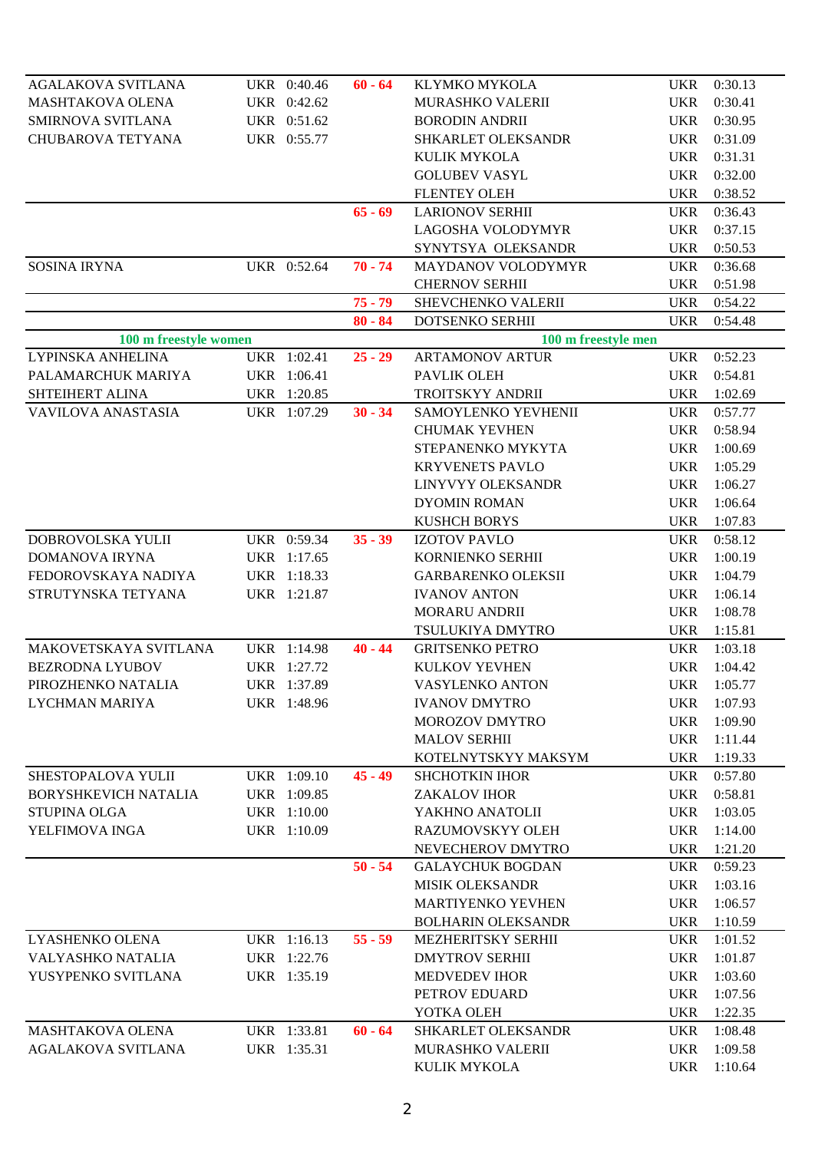| AGALAKOVA SVITLANA          | UKR 0:40.46 | $60 - 64$ | KLYMKO MYKOLA             | UKR        | 0:30.13     |
|-----------------------------|-------------|-----------|---------------------------|------------|-------------|
| <b>MASHTAKOVA OLENA</b>     | UKR 0:42.62 |           | <b>MURASHKO VALERII</b>   | <b>UKR</b> | 0:30.41     |
| SMIRNOVA SVITLANA           | UKR 0:51.62 |           | <b>BORODIN ANDRII</b>     | <b>UKR</b> | 0:30.95     |
| CHUBAROVA TETYANA           | UKR 0:55.77 |           | SHKARLET OLEKSANDR        | <b>UKR</b> | 0:31.09     |
|                             |             |           | KULIK MYKOLA              | <b>UKR</b> | 0:31.31     |
|                             |             |           | <b>GOLUBEV VASYL</b>      | <b>UKR</b> | 0:32.00     |
|                             |             |           | <b>FLENTEY OLEH</b>       | <b>UKR</b> | 0:38.52     |
|                             |             | $65 - 69$ | <b>LARIONOV SERHII</b>    | <b>UKR</b> | 0:36.43     |
|                             |             |           | LAGOSHA VOLODYMYR         | <b>UKR</b> | 0:37.15     |
|                             |             |           | SYNYTSYA OLEKSANDR        | <b>UKR</b> | 0:50.53     |
| <b>SOSINA IRYNA</b>         | UKR 0:52.64 | $70 - 74$ | <b>MAYDANOV VOLODYMYR</b> | <b>UKR</b> | 0:36.68     |
|                             |             |           | <b>CHERNOV SERHII</b>     | <b>UKR</b> | 0:51.98     |
|                             |             | $75 - 79$ | SHEVCHENKO VALERII        | <b>UKR</b> | 0:54.22     |
|                             |             | $80 - 84$ | DOTSENKO SERHII           | <b>UKR</b> | 0:54.48     |
| 100 m freestyle women       |             |           | 100 m freestyle men       |            |             |
| LYPINSKA ANHELINA           | UKR 1:02.41 | $25 - 29$ | <b>ARTAMONOV ARTUR</b>    | <b>UKR</b> | 0:52.23     |
| PALAMARCHUK MARIYA          | UKR 1:06.41 |           | PAVLIK OLEH               | <b>UKR</b> | 0:54.81     |
| SHTEIHERT ALINA             | UKR 1:20.85 |           | TROITSKYY ANDRII          | <b>UKR</b> | 1:02.69     |
| VAVILOVA ANASTASIA          | UKR 1:07.29 | $30 - 34$ | SAMOYLENKO YEVHENII       | UKR        | 0:57.77     |
|                             |             |           | <b>CHUMAK YEVHEN</b>      | <b>UKR</b> | 0:58.94     |
|                             |             |           | STEPANENKO MYKYTA         | <b>UKR</b> | 1:00.69     |
|                             |             |           | <b>KRYVENETS PAVLO</b>    | <b>UKR</b> | 1:05.29     |
|                             |             |           | LINYVYY OLEKSANDR         | <b>UKR</b> | 1:06.27     |
|                             |             |           | <b>DYOMIN ROMAN</b>       | <b>UKR</b> | 1:06.64     |
|                             |             |           | <b>KUSHCH BORYS</b>       | <b>UKR</b> | 1:07.83     |
| DOBROVOLSKA YULII           | UKR 0:59.34 | $35 - 39$ | <b>IZOTOV PAVLO</b>       | <b>UKR</b> | 0:58.12     |
| <b>DOMANOVA IRYNA</b>       | UKR 1:17.65 |           | KORNIENKO SERHII          | <b>UKR</b> | 1:00.19     |
| FEDOROVSKAYA NADIYA         | UKR 1:18.33 |           | <b>GARBARENKO OLEKSII</b> | <b>UKR</b> | 1:04.79     |
| STRUTYNSKA TETYANA          | UKR 1:21.87 |           | <b>IVANOV ANTON</b>       | <b>UKR</b> | 1:06.14     |
|                             |             |           | <b>MORARU ANDRII</b>      | <b>UKR</b> | 1:08.78     |
|                             |             |           | TSULUKIYA DMYTRO          | <b>UKR</b> | 1:15.81     |
| MAKOVETSKAYA SVITLANA       | UKR 1:14.98 | $40 - 44$ | <b>GRITSENKO PETRO</b>    | UKR        | 1:03.18     |
| <b>BEZRODNA LYUBOV</b>      | UKR 1:27.72 |           | KULKOV YEVHEN             | <b>UKR</b> | 1:04.42     |
| PIROZHENKO NATALIA          | UKR 1:37.89 |           | VASYLENKO ANTON           |            | UKR 1:05.77 |
| <b>LYCHMAN MARIYA</b>       | UKR 1:48.96 |           | <b>IVANOV DMYTRO</b>      | <b>UKR</b> | 1:07.93     |
|                             |             |           | MOROZOV DMYTRO            | <b>UKR</b> | 1:09.90     |
|                             |             |           | <b>MALOV SERHII</b>       | <b>UKR</b> | 1:11.44     |
|                             |             |           | KOTELNYTSKYY MAKSYM       | <b>UKR</b> | 1:19.33     |
| SHESTOPALOVA YULII          | UKR 1:09.10 | $45 - 49$ | <b>SHCHOTKIN IHOR</b>     | <b>UKR</b> | 0:57.80     |
| <b>BORYSHKEVICH NATALIA</b> | UKR 1:09.85 |           | <b>ZAKALOV IHOR</b>       | <b>UKR</b> | 0:58.81     |
| <b>STUPINA OLGA</b>         | UKR 1:10.00 |           | YAKHNO ANATOLII           | <b>UKR</b> | 1:03.05     |
| YELFIMOVA INGA              | UKR 1:10.09 |           | RAZUMOVSKYY OLEH          | <b>UKR</b> | 1:14.00     |
|                             |             |           | NEVECHEROV DMYTRO         | <b>UKR</b> | 1:21.20     |
|                             |             | $50 - 54$ | <b>GALAYCHUK BOGDAN</b>   | <b>UKR</b> | 0:59.23     |
|                             |             |           | <b>MISIK OLEKSANDR</b>    | <b>UKR</b> | 1:03.16     |
|                             |             |           | <b>MARTIYENKO YEVHEN</b>  | <b>UKR</b> | 1:06.57     |
|                             |             |           | <b>BOLHARIN OLEKSANDR</b> | <b>UKR</b> | 1:10.59     |
| LYASHENKO OLENA             | UKR 1:16.13 | $55 - 59$ | MEZHERITSKY SERHII        | <b>UKR</b> | 1:01.52     |
| VALYASHKO NATALIA           | UKR 1:22.76 |           | <b>DMYTROV SERHII</b>     | <b>UKR</b> | 1:01.87     |
| YUSYPENKO SVITLANA          | UKR 1:35.19 |           | <b>MEDVEDEV IHOR</b>      | <b>UKR</b> | 1:03.60     |
|                             |             |           | PETROV EDUARD             | <b>UKR</b> | 1:07.56     |
|                             |             |           | YOTKA OLEH                | <b>UKR</b> | 1:22.35     |
| MASHTAKOVA OLENA            | UKR 1:33.81 | $60 - 64$ | SHKARLET OLEKSANDR        | <b>UKR</b> | 1:08.48     |
| <b>AGALAKOVA SVITLANA</b>   | UKR 1:35.31 |           | <b>MURASHKO VALERII</b>   | <b>UKR</b> | 1:09.58     |
|                             |             |           | KULIK MYKOLA              | UKR        | 1:10.64     |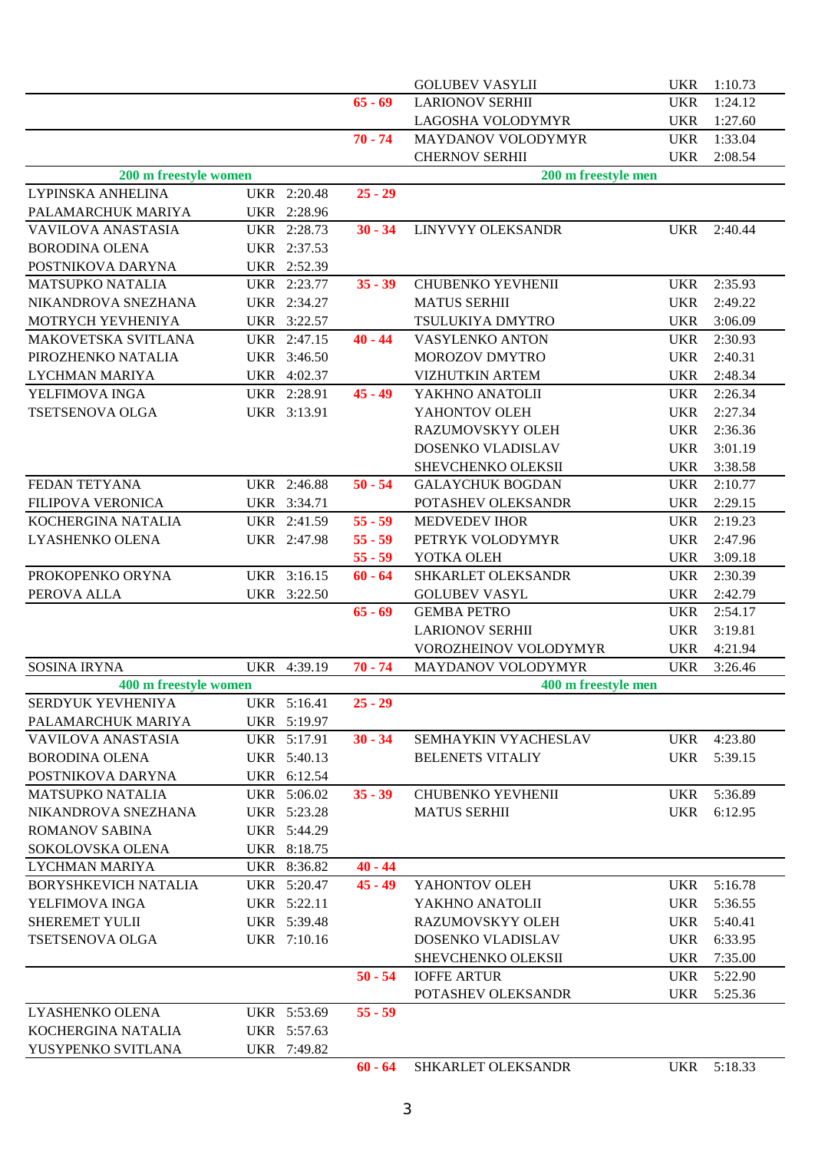|                             |             |           | <b>GOLUBEV VASYLII</b>   | <b>UKR</b> | 1:10.73 |
|-----------------------------|-------------|-----------|--------------------------|------------|---------|
|                             |             | $65 - 69$ | <b>LARIONOV SERHII</b>   | <b>UKR</b> | 1:24.12 |
|                             |             |           | LAGOSHA VOLODYMYR        | <b>UKR</b> | 1:27.60 |
|                             |             | $70 - 74$ | MAYDANOV VOLODYMYR       | <b>UKR</b> | 1:33.04 |
|                             |             |           | <b>CHERNOV SERHII</b>    | <b>UKR</b> | 2:08.54 |
| 200 m freestyle women       |             |           | 200 m freestyle men      |            |         |
| LYPINSKA ANHELINA           | UKR 2:20.48 | $25 - 29$ |                          |            |         |
| PALAMARCHUK MARIYA          | UKR 2:28.96 |           |                          |            |         |
| <b>VAVILOVA ANASTASIA</b>   | UKR 2:28.73 | $30 - 34$ | LINYVYY OLEKSANDR        | <b>UKR</b> | 2:40.44 |
| <b>BORODINA OLENA</b>       | UKR 2:37.53 |           |                          |            |         |
| POSTNIKOVA DARYNA           | UKR 2:52.39 |           |                          |            |         |
| <b>MATSUPKO NATALIA</b>     | UKR 2:23.77 | $35 - 39$ | <b>CHUBENKO YEVHENII</b> | <b>UKR</b> | 2:35.93 |
| NIKANDROVA SNEZHANA         |             |           |                          |            |         |
| MOTRYCH YEVHENIYA           | UKR 2:34.27 |           | <b>MATUS SERHII</b>      | <b>UKR</b> | 2:49.22 |
|                             | UKR 3:22.57 |           | TSULUKIYA DMYTRO         | <b>UKR</b> | 3:06.09 |
| MAKOVETSKA SVITLANA         | UKR 2:47.15 | $40 - 44$ | VASYLENKO ANTON          | <b>UKR</b> | 2:30.93 |
| PIROZHENKO NATALIA          | UKR 3:46.50 |           | MOROZOV DMYTRO           | <b>UKR</b> | 2:40.31 |
| <b>LYCHMAN MARIYA</b>       | UKR 4:02.37 |           | <b>VIZHUTKIN ARTEM</b>   | <b>UKR</b> | 2:48.34 |
| YELFIMOVA INGA              | UKR 2:28.91 | $45 - 49$ | YAKHNO ANATOLII          | <b>UKR</b> | 2:26.34 |
| <b>TSETSENOVA OLGA</b>      | UKR 3:13.91 |           | YAHONTOV OLEH            | <b>UKR</b> | 2:27.34 |
|                             |             |           | RAZUMOVSKYY OLEH         | <b>UKR</b> | 2:36.36 |
|                             |             |           | DOSENKO VLADISLAV        | <b>UKR</b> | 3:01.19 |
|                             |             |           | SHEVCHENKO OLEKSII       | <b>UKR</b> | 3:38.58 |
| FEDAN TETYANA               | UKR 2:46.88 | $50 - 54$ | <b>GALAYCHUK BOGDAN</b>  | <b>UKR</b> | 2:10.77 |
| FILIPOVA VERONICA           | UKR 3:34.71 |           | POTASHEV OLEKSANDR       | <b>UKR</b> | 2:29.15 |
| KOCHERGINA NATALIA          | UKR 2:41.59 | $55 - 59$ | <b>MEDVEDEV IHOR</b>     | <b>UKR</b> | 2:19.23 |
| LYASHENKO OLENA             | UKR 2:47.98 | $55 - 59$ | PETRYK VOLODYMYR         | <b>UKR</b> | 2:47.96 |
|                             |             | $55 - 59$ | YOTKA OLEH               | <b>UKR</b> | 3:09.18 |
| PROKOPENKO ORYNA            | UKR 3:16.15 | $60 - 64$ | SHKARLET OLEKSANDR       | <b>UKR</b> | 2:30.39 |
| PEROVA ALLA                 | UKR 3:22.50 |           | <b>GOLUBEV VASYL</b>     | <b>UKR</b> | 2:42.79 |
|                             |             | $65 - 69$ | <b>GEMBA PETRO</b>       | <b>UKR</b> | 2:54.17 |
|                             |             |           | <b>LARIONOV SERHII</b>   | <b>UKR</b> | 3:19.81 |
|                             |             |           | VOROZHEINOV VOLODYMYR    | <b>UKR</b> | 4:21.94 |
| <b>SOSINA IRYNA</b>         | UKR 4:39.19 | $70 - 74$ | MAYDANOV VOLODYMYR       | <b>UKR</b> | 3:26.46 |
| 400 m freestyle women       |             |           | 400 m freestyle men      |            |         |
| SERDYUK YEVHENIYA           | UKR 5:16.41 | $25 - 29$ |                          |            |         |
| PALAMARCHUK MARIYA          | UKR 5:19.97 |           |                          |            |         |
| VAVILOVA ANASTASIA          | UKR 5:17.91 | $30 - 34$ | SEMHAYKIN VYACHESLAV     | UKR        | 4:23.80 |
| <b>BORODINA OLENA</b>       | UKR 5:40.13 |           | <b>BELENETS VITALIY</b>  | UKR        | 5:39.15 |
| POSTNIKOVA DARYNA           | UKR 6:12.54 |           |                          |            |         |
| <b>MATSUPKO NATALIA</b>     | UKR 5:06.02 | $35 - 39$ | CHUBENKO YEVHENII        | <b>UKR</b> | 5:36.89 |
| NIKANDROVA SNEZHANA         | UKR 5:23.28 |           | <b>MATUS SERHII</b>      | UKR        | 6:12.95 |
| <b>ROMANOV SABINA</b>       | UKR 5:44.29 |           |                          |            |         |
| SOKOLOVSKA OLENA            | UKR 8:18.75 |           |                          |            |         |
| LYCHMAN MARIYA              | UKR 8:36.82 | $40 - 44$ |                          |            |         |
| <b>BORYSHKEVICH NATALIA</b> | UKR 5:20.47 | $45 - 49$ | YAHONTOV OLEH            | <b>UKR</b> | 5:16.78 |
| YELFIMOVA INGA              | UKR 5:22.11 |           | YAKHNO ANATOLII          | <b>UKR</b> | 5:36.55 |
| SHEREMET YULII              | UKR 5:39.48 |           | RAZUMOVSKYY OLEH         | <b>UKR</b> | 5:40.41 |
| TSETSENOVA OLGA             | UKR 7:10.16 |           | DOSENKO VLADISLAV        | <b>UKR</b> | 6:33.95 |
|                             |             |           | SHEVCHENKO OLEKSII       | <b>UKR</b> | 7:35.00 |
|                             |             | $50 - 54$ | <b>IOFFE ARTUR</b>       | <b>UKR</b> | 5:22.90 |
|                             |             |           | POTASHEV OLEKSANDR       | UKR        | 5:25.36 |
| LYASHENKO OLENA             | UKR 5:53.69 | $55 - 59$ |                          |            |         |
| KOCHERGINA NATALIA          | UKR 5:57.63 |           |                          |            |         |
| YUSYPENKO SVITLANA          | UKR 7:49.82 |           |                          |            |         |
|                             |             | $60 - 64$ | SHKARLET OLEKSANDR       | UKR        | 5:18.33 |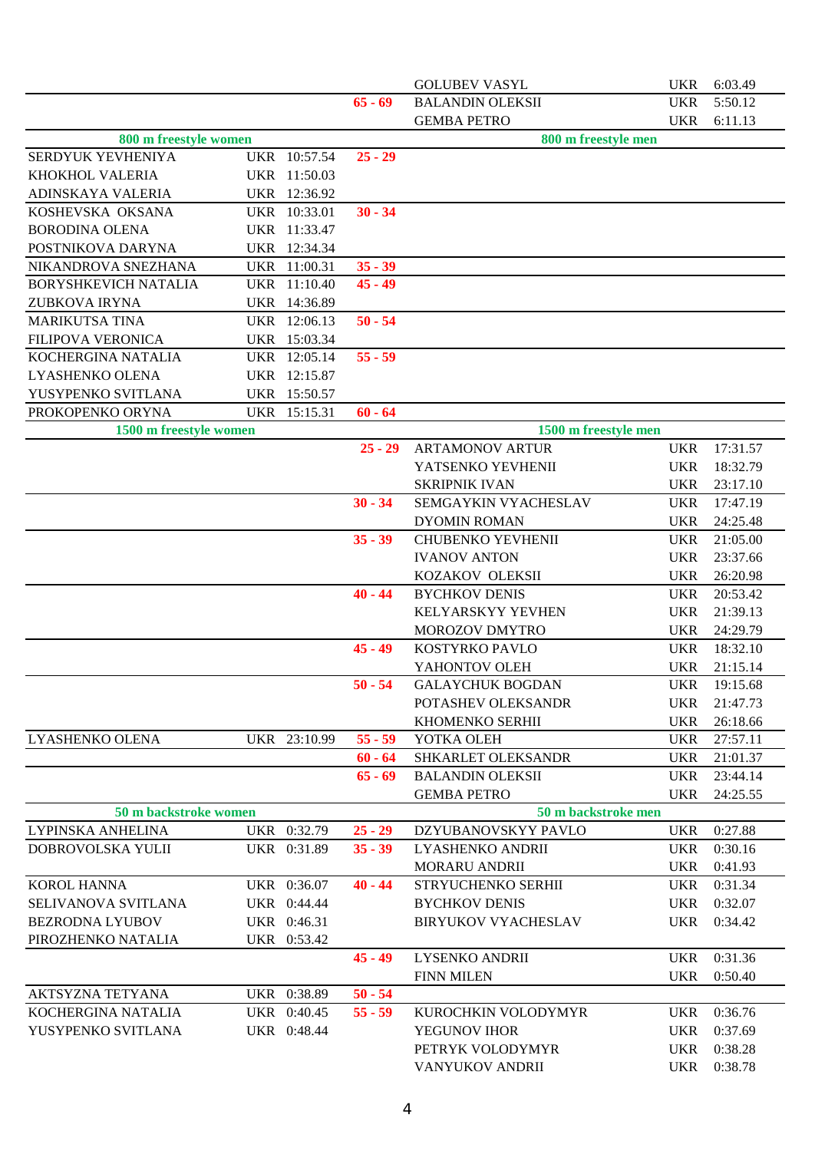|                                        |                            |                        | <b>GOLUBEV VASYL</b>             | <b>UKR</b>               | 6:03.49            |
|----------------------------------------|----------------------------|------------------------|----------------------------------|--------------------------|--------------------|
|                                        |                            | $65 - 69$              | <b>BALANDIN OLEKSII</b>          | <b>UKR</b>               | 5:50.12            |
|                                        |                            |                        | <b>GEMBA PETRO</b>               | <b>UKR</b>               | 6:11.13            |
| 800 m freestyle women                  |                            |                        | 800 m freestyle men              |                          |                    |
| SERDYUK YEVHENIYA                      | UKR 10:57.54               | $25 - 29$              |                                  |                          |                    |
| KHOKHOL VALERIA                        | UKR 11:50.03               |                        |                                  |                          |                    |
| ADINSKAYA VALERIA                      | UKR 12:36.92               |                        |                                  |                          |                    |
| KOSHEVSKA OKSANA                       | UKR 10:33.01               | $30 - 34$              |                                  |                          |                    |
| <b>BORODINA OLENA</b>                  | UKR 11:33.47               |                        |                                  |                          |                    |
| POSTNIKOVA DARYNA                      | UKR 12:34.34               |                        |                                  |                          |                    |
| NIKANDROVA SNEZHANA                    | UKR 11:00.31               | $35 - 39$              |                                  |                          |                    |
| <b>BORYSHKEVICH NATALIA</b>            | UKR 11:10.40               | $45 - 49$              |                                  |                          |                    |
| <b>ZUBKOVA IRYNA</b>                   | UKR 14:36.89               |                        |                                  |                          |                    |
| <b>MARIKUTSA TINA</b>                  | UKR 12:06.13               | $50 - 54$              |                                  |                          |                    |
| FILIPOVA VERONICA                      | UKR 15:03.34               |                        |                                  |                          |                    |
| KOCHERGINA NATALIA                     | UKR 12:05.14               | $55 - 59$              |                                  |                          |                    |
| LYASHENKO OLENA                        | UKR 12:15.87               |                        |                                  |                          |                    |
| YUSYPENKO SVITLANA                     | UKR 15:50.57               |                        |                                  |                          |                    |
| PROKOPENKO ORYNA                       | UKR 15:15.31               | $60 - 64$              |                                  |                          |                    |
| 1500 m freestyle women                 |                            |                        | 1500 m freestyle men             |                          |                    |
|                                        |                            | $25 - 29$              | <b>ARTAMONOV ARTUR</b>           | <b>UKR</b>               | 17:31.57           |
|                                        |                            |                        | YATSENKO YEVHENII                | <b>UKR</b>               | 18:32.79           |
|                                        |                            |                        | <b>SKRIPNIK IVAN</b>             | <b>UKR</b>               | 23:17.10           |
|                                        |                            | $30 - 34$              | SEMGAYKIN VYACHESLAV             | <b>UKR</b>               | 17:47.19           |
|                                        |                            |                        | <b>DYOMIN ROMAN</b>              | <b>UKR</b>               | 24:25.48           |
|                                        |                            | $35 - 39$              | <b>CHUBENKO YEVHENII</b>         | <b>UKR</b>               | 21:05.00           |
|                                        |                            |                        | <b>IVANOV ANTON</b>              | <b>UKR</b>               | 23:37.66           |
|                                        |                            |                        | KOZAKOV OLEKSII                  | <b>UKR</b>               | 26:20.98           |
|                                        |                            | $40 - 44$              | <b>BYCHKOV DENIS</b>             | <b>UKR</b>               | 20:53.42           |
|                                        |                            |                        | KELYARSKYY YEVHEN                | <b>UKR</b>               | 21:39.13           |
|                                        |                            |                        | MOROZOV DMYTRO                   | <b>UKR</b>               | 24:29.79           |
|                                        |                            | $45 - 49$              | KOSTYRKO PAVLO                   | <b>UKR</b>               | 18:32.10           |
|                                        |                            |                        | YAHONTOV OLEH                    | <b>UKR</b>               | 21:15.14           |
|                                        |                            | $50 - 54$              | <b>GALAYCHUK BOGDAN</b>          |                          | UKR 19:15.68       |
|                                        |                            |                        | POTASHEV OLEKSANDR               | <b>UKR</b>               | 21:47.73           |
|                                        |                            |                        | KHOMENKO SERHII                  | <b>UKR</b>               | 26:18.66           |
| LYASHENKO OLENA                        | UKR 23:10.99               | $55 - 59$              | YOTKA OLEH                       | <b>UKR</b>               | 27:57.11           |
|                                        |                            | $60 - 64$              | SHKARLET OLEKSANDR               | <b>UKR</b>               | 21:01.37           |
|                                        |                            | $65 - 69$              | <b>BALANDIN OLEKSII</b>          | <b>UKR</b>               | 23:44.14           |
|                                        |                            |                        | <b>GEMBA PETRO</b>               | <b>UKR</b>               | 24:25.55           |
| 50 m backstroke women                  |                            |                        | 50 m backstroke men              |                          |                    |
| LYPINSKA ANHELINA                      | UKR 0:32.79                | $25 - 29$              | DZYUBANOVSKYY PAVLO              | <b>UKR</b>               | 0:27.88            |
| DOBROVOLSKA YULII                      | UKR 0:31.89                | $35 - 39$              | LYASHENKO ANDRII                 | <b>UKR</b>               | 0:30.16            |
|                                        |                            |                        | <b>MORARU ANDRII</b>             | <b>UKR</b>               | 0:41.93            |
| <b>KOROL HANNA</b>                     | UKR 0:36.07                | $40 - 44$              | STRYUCHENKO SERHII               | <b>UKR</b>               | 0:31.34            |
| SELIVANOVA SVITLANA                    | UKR 0:44.44                |                        | <b>BYCHKOV DENIS</b>             | <b>UKR</b>               | 0:32.07            |
| <b>BEZRODNA LYUBOV</b>                 | UKR 0:46.31                |                        | <b>BIRYUKOV VYACHESLAV</b>       | <b>UKR</b>               | 0:34.42            |
| PIROZHENKO NATALIA                     | UKR 0:53.42                |                        |                                  |                          |                    |
|                                        |                            | $45 - 49$              | LYSENKO ANDRII                   | <b>UKR</b>               | 0:31.36            |
|                                        |                            |                        | <b>FINN MILEN</b>                | <b>UKR</b>               | 0:50.40            |
| AKTSYZNA TETYANA<br>KOCHERGINA NATALIA | UKR 0:38.89<br>UKR 0:40.45 | $50 - 54$<br>$55 - 59$ | KUROCHKIN VOLODYMYR              |                          | 0:36.76            |
|                                        |                            |                        |                                  | <b>UKR</b>               |                    |
| YUSYPENKO SVITLANA                     | UKR 0:48.44                |                        | YEGUNOV IHOR<br>PETRYK VOLODYMYR | <b>UKR</b><br><b>UKR</b> | 0:37.69<br>0:38.28 |
|                                        |                            |                        | VANYUKOV ANDRII                  | <b>UKR</b>               | 0:38.78            |
|                                        |                            |                        |                                  |                          |                    |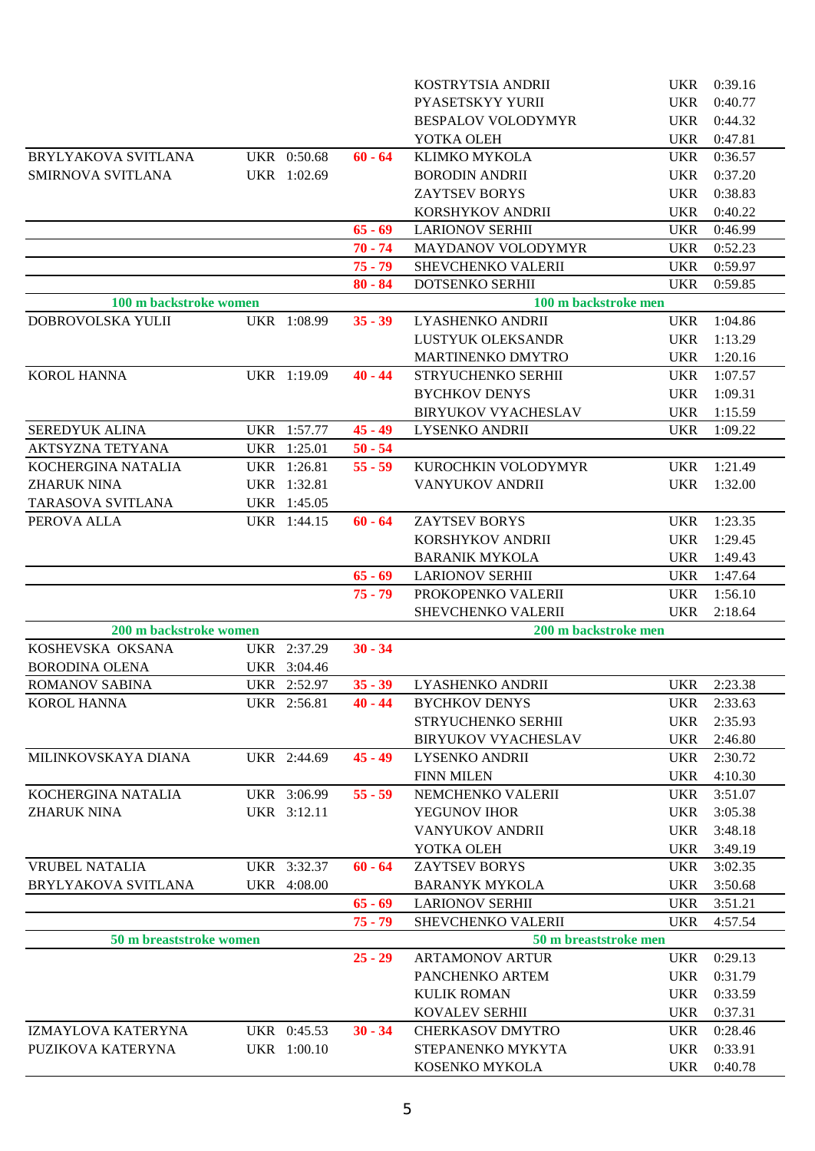|                          |             |           | KOSTRYTSIA ANDRII          | 0:39.16<br><b>UKR</b> |
|--------------------------|-------------|-----------|----------------------------|-----------------------|
|                          |             |           | PYASETSKYY YURII           | <b>UKR</b><br>0:40.77 |
|                          |             |           | <b>BESPALOV VOLODYMYR</b>  | 0:44.32<br><b>UKR</b> |
|                          |             |           | YOTKA OLEH                 | <b>UKR</b><br>0:47.81 |
| BRYLYAKOVA SVITLANA      | UKR 0:50.68 | $60 - 64$ | KLIMKO MYKOLA              | 0:36.57<br><b>UKR</b> |
| <b>SMIRNOVA SVITLANA</b> | UKR 1:02.69 |           | <b>BORODIN ANDRII</b>      | 0:37.20<br><b>UKR</b> |
|                          |             |           | <b>ZAYTSEV BORYS</b>       | 0:38.83<br><b>UKR</b> |
|                          |             |           | KORSHYKOV ANDRII           | <b>UKR</b><br>0:40.22 |
|                          |             | $65 - 69$ | <b>LARIONOV SERHII</b>     | 0:46.99<br><b>UKR</b> |
|                          |             | $70 - 74$ | MAYDANOV VOLODYMYR         | <b>UKR</b><br>0:52.23 |
|                          |             | $75 - 79$ | SHEVCHENKO VALERII         | <b>UKR</b><br>0:59.97 |
|                          |             | $80 - 84$ | DOTSENKO SERHII            | <b>UKR</b><br>0:59.85 |
| 100 m backstroke women   |             |           | 100 m backstroke men       |                       |
| DOBROVOLSKA YULII        | UKR 1:08.99 | $35 - 39$ | LYASHENKO ANDRII           | <b>UKR</b><br>1:04.86 |
|                          |             |           | LUSTYUK OLEKSANDR          | <b>UKR</b><br>1:13.29 |
|                          |             |           | MARTINENKO DMYTRO          | <b>UKR</b><br>1:20.16 |
| <b>KOROL HANNA</b>       | UKR 1:19.09 | $40 - 44$ | STRYUCHENKO SERHII         | <b>UKR</b><br>1:07.57 |
|                          |             |           | <b>BYCHKOV DENYS</b>       | <b>UKR</b><br>1:09.31 |
|                          |             |           | <b>BIRYUKOV VYACHESLAV</b> | <b>UKR</b><br>1:15.59 |
| SEREDYUK ALINA           | UKR 1:57.77 | $45 - 49$ | <b>LYSENKO ANDRII</b>      | <b>UKR</b><br>1:09.22 |
| <b>AKTSYZNA TETYANA</b>  | UKR 1:25.01 | $50 - 54$ |                            |                       |
| KOCHERGINA NATALIA       | UKR 1:26.81 | $55 - 59$ | KUROCHKIN VOLODYMYR        | 1:21.49<br><b>UKR</b> |
| <b>ZHARUK NINA</b>       | UKR 1:32.81 |           | VANYUKOV ANDRII            | <b>UKR</b><br>1:32.00 |
| TARASOVA SVITLANA        | UKR 1:45.05 |           |                            |                       |
| PEROVA ALLA              | UKR 1:44.15 | $60 - 64$ | <b>ZAYTSEV BORYS</b>       | 1:23.35<br><b>UKR</b> |
|                          |             |           | KORSHYKOV ANDRII           | <b>UKR</b><br>1:29.45 |
|                          |             |           | <b>BARANIK MYKOLA</b>      | <b>UKR</b><br>1:49.43 |
|                          |             | $65 - 69$ | <b>LARIONOV SERHII</b>     | <b>UKR</b><br>1:47.64 |
|                          |             | $75 - 79$ | PROKOPENKO VALERII         | 1:56.10<br><b>UKR</b> |
|                          |             |           | SHEVCHENKO VALERII         | <b>UKR</b><br>2:18.64 |
| 200 m backstroke women   |             |           | 200 m backstroke men       |                       |
| KOSHEVSKA OKSANA         | UKR 2:37.29 | $30 - 34$ |                            |                       |
| <b>BORODINA OLENA</b>    | UKR 3:04.46 |           |                            |                       |
| <b>ROMANOV SABINA</b>    | UKR 2:52.97 | $35 - 39$ | LYASHENKO ANDRII           | <b>UKR</b><br>2:23.38 |
| <b>KOROL HANNA</b>       | UKR 2:56.81 | $40 - 44$ | <b>BYCHKOV DENYS</b>       | 2:33.63<br><b>UKR</b> |
|                          |             |           | STRYUCHENKO SERHII         | 2:35.93<br><b>UKR</b> |
|                          |             |           | <b>BIRYUKOV VYACHESLAV</b> | 2:46.80<br><b>UKR</b> |
| MILINKOVSKAYA DIANA      | UKR 2:44.69 | $45 - 49$ | <b>LYSENKO ANDRII</b>      | 2:30.72<br><b>UKR</b> |
|                          |             |           | <b>FINN MILEN</b>          | <b>UKR</b><br>4:10.30 |
| KOCHERGINA NATALIA       | UKR 3:06.99 | $55 - 59$ | NEMCHENKO VALERII          | 3:51.07<br><b>UKR</b> |
| <b>ZHARUK NINA</b>       | UKR 3:12.11 |           | YEGUNOV IHOR               | <b>UKR</b><br>3:05.38 |
|                          |             |           | VANYUKOV ANDRII            | 3:48.18<br><b>UKR</b> |
|                          |             |           | YOTKA OLEH                 | <b>UKR</b><br>3:49.19 |
| <b>VRUBEL NATALIA</b>    | UKR 3:32.37 | $60 - 64$ | <b>ZAYTSEV BORYS</b>       | 3:02.35<br><b>UKR</b> |
| BRYLYAKOVA SVITLANA      | UKR 4:08.00 |           | <b>BARANYK MYKOLA</b>      | <b>UKR</b><br>3:50.68 |
|                          |             | $65 - 69$ | <b>LARIONOV SERHII</b>     | <b>UKR</b><br>3:51.21 |
|                          |             | $75 - 79$ | SHEVCHENKO VALERII         | <b>UKR</b><br>4:57.54 |
| 50 m breaststroke women  |             |           | 50 m breaststroke men      |                       |
|                          |             | $25 - 29$ | <b>ARTAMONOV ARTUR</b>     | 0:29.13<br><b>UKR</b> |
|                          |             |           | PANCHENKO ARTEM            | 0:31.79<br><b>UKR</b> |
|                          |             |           | <b>KULIK ROMAN</b>         | 0:33.59<br><b>UKR</b> |
|                          |             |           | <b>KOVALEV SERHII</b>      | <b>UKR</b><br>0:37.31 |
| IZMAYLOVA KATERYNA       | UKR 0:45.53 | $30 - 34$ | <b>CHERKASOV DMYTRO</b>    | 0:28.46<br><b>UKR</b> |
| PUZIKOVA KATERYNA        | UKR 1:00.10 |           | STEPANENKO MYKYTA          | <b>UKR</b><br>0:33.91 |
|                          |             |           | KOSENKO MYKOLA             | 0:40.78<br><b>UKR</b> |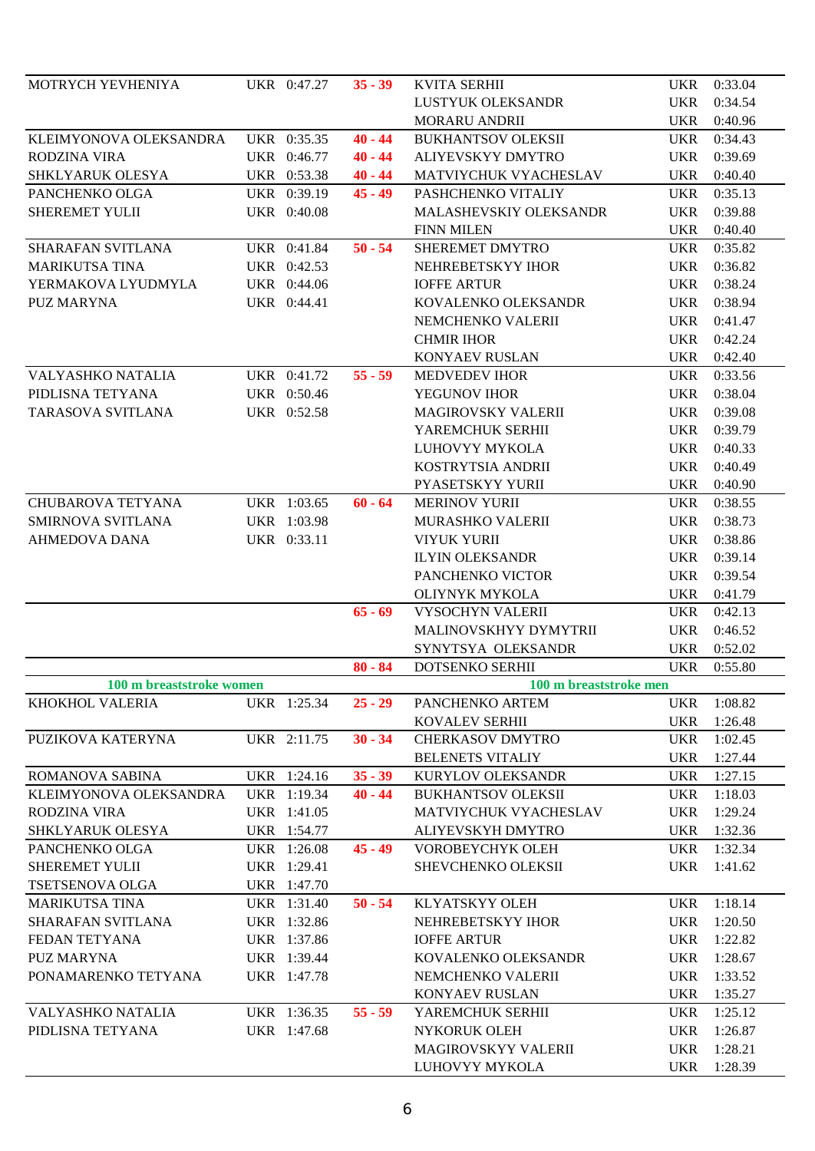| MOTRYCH YEVHENIYA                           | UKR 0:47.27 | $35 - 39$ | <b>KVITA SERHII</b>               | <b>UKR</b>               | 0:33.04            |
|---------------------------------------------|-------------|-----------|-----------------------------------|--------------------------|--------------------|
|                                             |             |           | LUSTYUK OLEKSANDR                 | <b>UKR</b>               | 0:34.54            |
|                                             |             |           | <b>MORARU ANDRII</b>              | <b>UKR</b>               | 0:40.96            |
| KLEIMYONOVA OLEKSANDRA                      | UKR 0:35.35 | $40 - 44$ | <b>BUKHANTSOV OLEKSII</b>         | <b>UKR</b>               | 0:34.43            |
| <b>RODZINA VIRA</b>                         | UKR 0:46.77 | $40 - 44$ | ALIYEVSKYY DMYTRO                 | <b>UKR</b>               | 0:39.69            |
| SHKLYARUK OLESYA                            | UKR 0:53.38 | $40 - 44$ | MATVIYCHUK VYACHESLAV             | <b>UKR</b>               | 0:40.40            |
| PANCHENKO OLGA                              | UKR 0:39.19 | $45 - 49$ | PASHCHENKO VITALIY                | <b>UKR</b>               | 0:35.13            |
| <b>SHEREMET YULII</b>                       | UKR 0:40.08 |           | MALASHEVSKIY OLEKSANDR            | <b>UKR</b>               | 0:39.88            |
|                                             |             |           | <b>FINN MILEN</b>                 | <b>UKR</b>               | 0:40.40            |
| <b>SHARAFAN SVITLANA</b>                    | UKR 0:41.84 | $50 - 54$ | SHEREMET DMYTRO                   | <b>UKR</b>               | 0:35.82            |
| <b>MARIKUTSA TINA</b>                       | UKR 0:42.53 |           | NEHREBETSKYY IHOR                 | <b>UKR</b>               | 0:36.82            |
| YERMAKOVA LYUDMYLA                          | UKR 0:44.06 |           | <b>IOFFE ARTUR</b>                | <b>UKR</b>               | 0:38.24            |
| <b>PUZ MARYNA</b>                           | UKR 0:44.41 |           | KOVALENKO OLEKSANDR               | <b>UKR</b>               | 0:38.94            |
|                                             |             |           | NEMCHENKO VALERII                 | <b>UKR</b>               | 0:41.47            |
|                                             |             |           | <b>CHMIR IHOR</b>                 | <b>UKR</b>               | 0:42.24            |
|                                             |             |           | KONYAEV RUSLAN                    | <b>UKR</b>               | 0:42.40            |
| <b>VALYASHKO NATALIA</b>                    | UKR 0:41.72 | $55 - 59$ | <b>MEDVEDEV IHOR</b>              | <b>UKR</b>               | 0:33.56            |
| PIDLISNA TETYANA                            | UKR 0:50.46 |           | YEGUNOV IHOR                      | <b>UKR</b>               | 0:38.04            |
| <b>TARASOVA SVITLANA</b>                    | UKR 0:52.58 |           | <b>MAGIROVSKY VALERII</b>         | <b>UKR</b>               | 0:39.08            |
|                                             |             |           | YAREMCHUK SERHII                  | <b>UKR</b>               | 0:39.79            |
|                                             |             |           | LUHOVYY MYKOLA                    | <b>UKR</b>               | 0:40.33            |
|                                             |             |           | KOSTRYTSIA ANDRII                 | <b>UKR</b>               | 0:40.49            |
|                                             |             |           | PYASETSKYY YURII                  | <b>UKR</b>               | 0:40.90            |
| <b>CHUBAROVA TETYANA</b>                    | UKR 1:03.65 | $60 - 64$ | <b>MERINOV YURII</b>              | <b>UKR</b>               | 0:38.55            |
| SMIRNOVA SVITLANA                           | UKR 1:03.98 |           | <b>MURASHKO VALERII</b>           | <b>UKR</b>               | 0:38.73            |
| <b>AHMEDOVA DANA</b>                        | UKR 0:33.11 |           | <b>VIYUK YURII</b>                | <b>UKR</b>               | 0:38.86            |
|                                             |             |           | <b>ILYIN OLEKSANDR</b>            | <b>UKR</b>               | 0:39.14            |
|                                             |             |           | PANCHENKO VICTOR                  | <b>UKR</b>               | 0:39.54            |
|                                             |             |           | <b>OLIYNYK MYKOLA</b>             | <b>UKR</b>               | 0:41.79            |
|                                             |             | $65 - 69$ | <b>VYSOCHYN VALERII</b>           | <b>UKR</b>               | 0:42.13            |
|                                             |             |           | MALINOVSKHYY DYMYTRII             | <b>UKR</b>               | 0:46.52            |
|                                             |             |           | SYNYTSYA OLEKSANDR                | <b>UKR</b>               | 0:52.02            |
|                                             |             | $80 - 84$ | DOTSENKO SERHII                   | <b>UKR</b>               | 0:55.80            |
| 100 m breaststroke women<br>KHOKHOL VALERIA |             | $25 - 29$ | 100 m breaststroke men            |                          |                    |
|                                             | UKR 1:25.34 |           | PANCHENKO ARTEM<br>KOVALEV SERHII | <b>UKR</b><br><b>UKR</b> | 1:08.82<br>1:26.48 |
| PUZIKOVA KATERYNA                           | UKR 2:11.75 | $30 - 34$ | <b>CHERKASOV DMYTRO</b>           | <b>UKR</b>               | 1:02.45            |
|                                             |             |           | <b>BELENETS VITALIY</b>           | <b>UKR</b>               | 1:27.44            |
| ROMANOVA SABINA                             | UKR 1:24.16 | $35 - 39$ | KURYLOV OLEKSANDR                 | <b>UKR</b>               | 1:27.15            |
| KLEIMYONOVA OLEKSANDRA                      | UKR 1:19.34 | $40 - 44$ | <b>BUKHANTSOV OLEKSII</b>         | UKR                      | 1:18.03            |
| RODZINA VIRA                                | UKR 1:41.05 |           | MATVIYCHUK VYACHESLAV             | UKR                      | 1:29.24            |
| SHKLYARUK OLESYA                            | UKR 1:54.77 |           | ALIYEVSKYH DMYTRO                 | <b>UKR</b>               | 1:32.36            |
| PANCHENKO OLGA                              | UKR 1:26.08 | $45 - 49$ | <b>VOROBEYCHYK OLEH</b>           | UKR                      | 1:32.34            |
| SHEREMET YULII                              | UKR 1:29.41 |           | SHEVCHENKO OLEKSII                | <b>UKR</b>               | 1:41.62            |
| TSETSENOVA OLGA                             | UKR 1:47.70 |           |                                   |                          |                    |
| <b>MARIKUTSA TINA</b>                       | UKR 1:31.40 | $50 - 54$ | KLYATSKYY OLEH                    | <b>UKR</b>               | 1:18.14            |
| SHARAFAN SVITLANA                           | UKR 1:32.86 |           | NEHREBETSKYY IHOR                 | <b>UKR</b>               | 1:20.50            |
| <b>FEDAN TETYANA</b>                        | UKR 1:37.86 |           | <b>IOFFE ARTUR</b>                | <b>UKR</b>               | 1:22.82            |
| <b>PUZ MARYNA</b>                           | UKR 1:39.44 |           | KOVALENKO OLEKSANDR               | <b>UKR</b>               | 1:28.67            |
| PONAMARENKO TETYANA                         | UKR 1:47.78 |           | NEMCHENKO VALERII                 | UKR                      | 1:33.52            |
|                                             |             |           | <b>KONYAEV RUSLAN</b>             | <b>UKR</b>               | 1:35.27            |
| VALYASHKO NATALIA                           | UKR 1:36.35 | $55 - 59$ | YAREMCHUK SERHII                  | UKR                      | 1:25.12            |
| PIDLISNA TETYANA                            | UKR 1:47.68 |           | <b>NYKORUK OLEH</b>               | <b>UKR</b>               | 1:26.87            |
|                                             |             |           | <b>MAGIROVSKYY VALERII</b>        | <b>UKR</b>               | 1:28.21            |
|                                             |             |           | LUHOVYY MYKOLA                    |                          | UKR 1:28.39        |
|                                             |             |           |                                   |                          |                    |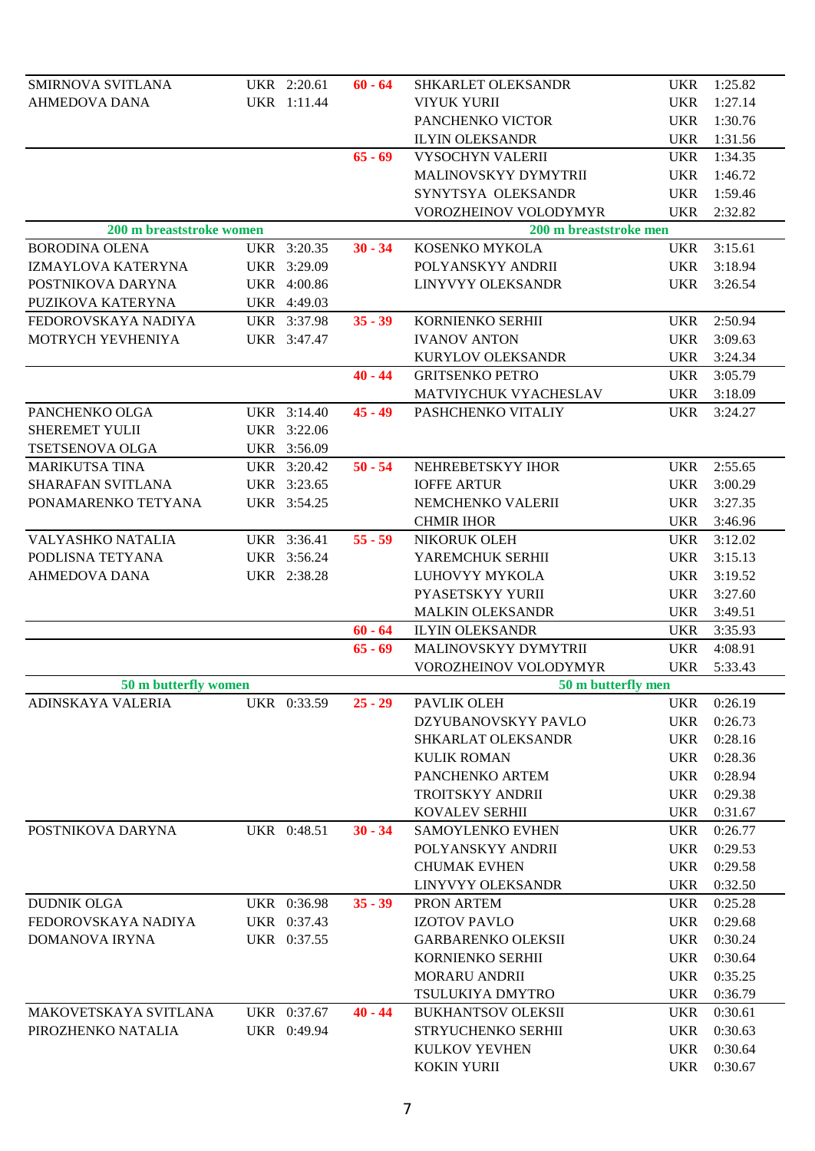| SMIRNOVA SVITLANA        | UKR 2:20.61 | $60 - 64$ | SHKARLET OLEKSANDR        |            | UKR 1:25.82 |
|--------------------------|-------------|-----------|---------------------------|------------|-------------|
| AHMEDOVA DANA            | UKR 1:11.44 |           | <b>VIYUK YURII</b>        | <b>UKR</b> | 1:27.14     |
|                          |             |           | PANCHENKO VICTOR          | <b>UKR</b> | 1:30.76     |
|                          |             |           | <b>ILYIN OLEKSANDR</b>    | UKR        | 1:31.56     |
|                          |             | $65 - 69$ | VYSOCHYN VALERII          | <b>UKR</b> | 1:34.35     |
|                          |             |           | MALINOVSKYY DYMYTRII      | UKR        | 1:46.72     |
|                          |             |           | SYNYTSYA OLEKSANDR        | <b>UKR</b> | 1:59.46     |
|                          |             |           | VOROZHEINOV VOLODYMYR     | UKR        | 2:32.82     |
| 200 m breaststroke women |             |           | 200 m breaststroke men    |            |             |
| <b>BORODINA OLENA</b>    | UKR 3:20.35 | $30 - 34$ | KOSENKO MYKOLA            | <b>UKR</b> | 3:15.61     |
| IZMAYLOVA KATERYNA       | UKR 3:29.09 |           | POLYANSKYY ANDRII         | UKR        | 3:18.94     |
| POSTNIKOVA DARYNA        | UKR 4:00.86 |           | LINYVYY OLEKSANDR         | <b>UKR</b> | 3:26.54     |
| PUZIKOVA KATERYNA        | UKR 4:49.03 |           |                           |            |             |
| FEDOROVSKAYA NADIYA      | UKR 3:37.98 | $35 - 39$ | KORNIENKO SERHII          | UKR        | 2:50.94     |
| MOTRYCH YEVHENIYA        | UKR 3:47.47 |           | <b>IVANOV ANTON</b>       | <b>UKR</b> | 3:09.63     |
|                          |             |           | KURYLOV OLEKSANDR         | <b>UKR</b> | 3:24.34     |
|                          |             | $40 - 44$ | <b>GRITSENKO PETRO</b>    | UKR        | 3:05.79     |
|                          |             |           | MATVIYCHUK VYACHESLAV     | UKR        | 3:18.09     |
| PANCHENKO OLGA           | UKR 3:14.40 | $45 - 49$ | PASHCHENKO VITALIY        | UKR        | 3:24.27     |
| SHEREMET YULII           | UKR 3:22.06 |           |                           |            |             |
| TSETSENOVA OLGA          | UKR 3:56.09 |           |                           |            |             |
| <b>MARIKUTSA TINA</b>    | UKR 3:20.42 | $50 - 54$ | NEHREBETSKYY IHOR         | UKR        | 2:55.65     |
| SHARAFAN SVITLANA        | UKR 3:23.65 |           | <b>IOFFE ARTUR</b>        | UKR        | 3:00.29     |
| PONAMARENKO TETYANA      | UKR 3:54.25 |           | NEMCHENKO VALERII         | UKR        | 3:27.35     |
|                          |             |           | <b>CHMIR IHOR</b>         | UKR        | 3:46.96     |
| VALYASHKO NATALIA        | UKR 3:36.41 | $55 - 59$ | NIKORUK OLEH              | UKR        | 3:12.02     |
| PODLISNA TETYANA         | UKR 3:56.24 |           | YAREMCHUK SERHII          | UKR        | 3:15.13     |
| <b>AHMEDOVA DANA</b>     | UKR 2:38.28 |           | LUHOVYY MYKOLA            | UKR        | 3:19.52     |
|                          |             |           | PYASETSKYY YURII          | <b>UKR</b> | 3:27.60     |
|                          |             |           | <b>MALKIN OLEKSANDR</b>   | <b>UKR</b> | 3:49.51     |
|                          |             | $60 - 64$ | <b>ILYIN OLEKSANDR</b>    | UKR        | 3:35.93     |
|                          |             | $65 - 69$ | MALINOVSKYY DYMYTRII      | UKR        | 4:08.91     |
|                          |             |           | VOROZHEINOV VOLODYMYR     | UKR        | 5:33.43     |
| 50 m butterfly women     |             |           | 50 m butterfly men        |            |             |
| ADINSKAYA VALERIA        | UKR 0:33.59 | $25 - 29$ | PAVLIK OLEH               | <b>UKR</b> | 0:26.19     |
|                          |             |           | DZYUBANOVSKYY PAVLO       | <b>UKR</b> | 0:26.73     |
|                          |             |           | SHKARLAT OLEKSANDR        | <b>UKR</b> | 0:28.16     |
|                          |             |           | <b>KULIK ROMAN</b>        | <b>UKR</b> | 0:28.36     |
|                          |             |           | PANCHENKO ARTEM           | <b>UKR</b> | 0:28.94     |
|                          |             |           | <b>TROITSKYY ANDRII</b>   | <b>UKR</b> | 0:29.38     |
|                          |             |           | KOVALEV SERHII            | <b>UKR</b> | 0:31.67     |
| POSTNIKOVA DARYNA        | UKR 0:48.51 | $30 - 34$ | SAMOYLENKO EVHEN          | <b>UKR</b> | 0:26.77     |
|                          |             |           | POLYANSKYY ANDRII         | <b>UKR</b> | 0:29.53     |
|                          |             |           | <b>CHUMAK EVHEN</b>       | <b>UKR</b> | 0:29.58     |
|                          |             |           | LINYVYY OLEKSANDR         | <b>UKR</b> | 0:32.50     |
| <b>DUDNIK OLGA</b>       | UKR 0:36.98 | $35 - 39$ | PRON ARTEM                | <b>UKR</b> | 0:25.28     |
| FEDOROVSKAYA NADIYA      | UKR 0:37.43 |           | <b>IZOTOV PAVLO</b>       | <b>UKR</b> | 0:29.68     |
| DOMANOVA IRYNA           | UKR 0:37.55 |           | <b>GARBARENKO OLEKSII</b> | <b>UKR</b> | 0:30.24     |
|                          |             |           | KORNIENKO SERHII          | <b>UKR</b> | 0:30.64     |
|                          |             |           | <b>MORARU ANDRII</b>      | <b>UKR</b> | 0:35.25     |
|                          |             |           | TSULUKIYA DMYTRO          | <b>UKR</b> | 0:36.79     |
| MAKOVETSKAYA SVITLANA    | UKR 0:37.67 | $40 - 44$ | <b>BUKHANTSOV OLEKSII</b> | <b>UKR</b> | 0:30.61     |
| PIROZHENKO NATALIA       | UKR 0:49.94 |           | STRYUCHENKO SERHII        | <b>UKR</b> | 0:30.63     |
|                          |             |           | KULKOV YEVHEN             | <b>UKR</b> | 0:30.64     |
|                          |             |           | <b>KOKIN YURII</b>        | <b>UKR</b> | 0:30.67     |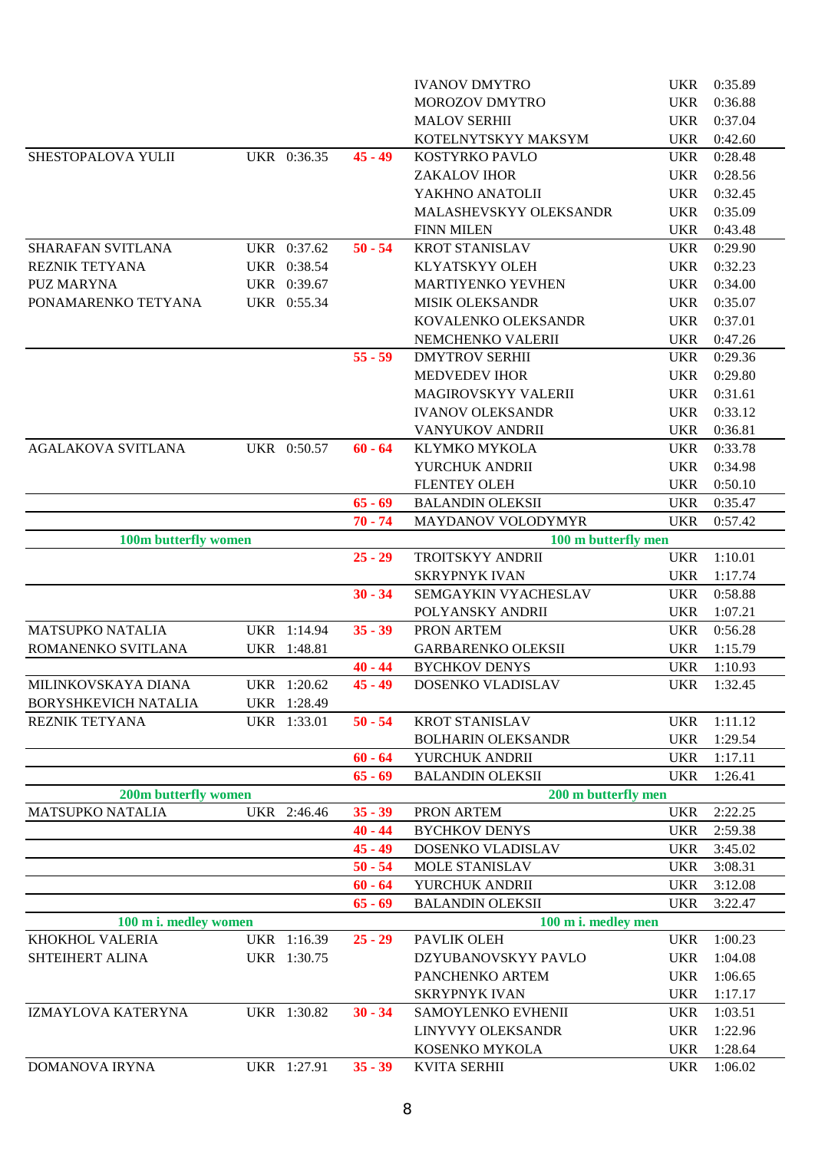|                           |             |           | <b>IVANOV DMYTRO</b>      | <b>UKR</b> | 0:35.89 |
|---------------------------|-------------|-----------|---------------------------|------------|---------|
|                           |             |           | <b>MOROZOV DMYTRO</b>     | <b>UKR</b> | 0:36.88 |
|                           |             |           | <b>MALOV SERHII</b>       | <b>UKR</b> | 0:37.04 |
|                           |             |           | KOTELNYTSKYY MAKSYM       | <b>UKR</b> | 0:42.60 |
| SHESTOPALOVA YULII        | UKR 0:36.35 | $45 - 49$ | KOSTYRKO PAVLO            | <b>UKR</b> | 0:28.48 |
|                           |             |           | <b>ZAKALOV IHOR</b>       | <b>UKR</b> | 0:28.56 |
|                           |             |           | YAKHNO ANATOLII           | <b>UKR</b> | 0:32.45 |
|                           |             |           | MALASHEVSKYY OLEKSANDR    | <b>UKR</b> | 0:35.09 |
|                           |             |           | <b>FINN MILEN</b>         | <b>UKR</b> | 0:43.48 |
| SHARAFAN SVITLANA         | UKR 0:37.62 | $50 - 54$ | <b>KROT STANISLAV</b>     | <b>UKR</b> | 0:29.90 |
| REZNIK TETYANA            | UKR 0:38.54 |           | <b>KLYATSKYY OLEH</b>     | <b>UKR</b> | 0:32.23 |
| <b>PUZ MARYNA</b>         | UKR 0:39.67 |           | MARTIYENKO YEVHEN         | <b>UKR</b> | 0:34.00 |
| PONAMARENKO TETYANA       | UKR 0:55.34 |           | <b>MISIK OLEKSANDR</b>    | <b>UKR</b> | 0:35.07 |
|                           |             |           | KOVALENKO OLEKSANDR       | <b>UKR</b> | 0:37.01 |
|                           |             |           | NEMCHENKO VALERII         | <b>UKR</b> | 0:47.26 |
|                           |             | $55 - 59$ | <b>DMYTROV SERHII</b>     | <b>UKR</b> | 0:29.36 |
|                           |             |           | <b>MEDVEDEV IHOR</b>      | <b>UKR</b> | 0:29.80 |
|                           |             |           | MAGIROVSKYY VALERII       | <b>UKR</b> | 0:31.61 |
|                           |             |           | <b>IVANOV OLEKSANDR</b>   | <b>UKR</b> | 0:33.12 |
|                           |             |           | <b>VANYUKOV ANDRII</b>    | <b>UKR</b> | 0:36.81 |
| <b>AGALAKOVA SVITLANA</b> | UKR 0:50.57 | $60 - 64$ | KLYMKO MYKOLA             | <b>UKR</b> | 0:33.78 |
|                           |             |           | YURCHUK ANDRII            | <b>UKR</b> | 0:34.98 |
|                           |             |           | <b>FLENTEY OLEH</b>       | <b>UKR</b> | 0:50.10 |
|                           |             | $65 - 69$ | <b>BALANDIN OLEKSII</b>   | <b>UKR</b> | 0:35.47 |
|                           |             | $70 - 74$ | <b>MAYDANOV VOLODYMYR</b> | <b>UKR</b> | 0:57.42 |
| 100m butterfly women      |             |           | 100 m butterfly men       |            |         |
|                           |             | $25 - 29$ | TROITSKYY ANDRII          | <b>UKR</b> | 1:10.01 |
|                           |             |           | <b>SKRYPNYK IVAN</b>      | <b>UKR</b> | 1:17.74 |
|                           |             | $30 - 34$ | SEMGAYKIN VYACHESLAV      | <b>UKR</b> | 0:58.88 |
|                           |             |           | POLYANSKY ANDRII          | <b>UKR</b> | 1:07.21 |
| <b>MATSUPKO NATALIA</b>   | UKR 1:14.94 | $35 - 39$ | PRON ARTEM                | <b>UKR</b> | 0:56.28 |
| ROMANENKO SVITLANA        | UKR 1:48.81 |           | <b>GARBARENKO OLEKSII</b> | <b>UKR</b> | 1:15.79 |
|                           |             | $40 - 44$ | <b>BYCHKOV DENYS</b>      | <b>UKR</b> | 1:10.93 |
| MILINKOVSKAYA DIANA       | UKR 1:20.62 | $45 - 49$ | DOSENKO VLADISLAV         | <b>UKR</b> | 1:32.45 |
| BORYSHKEVICH NATALIA      | UKR 1:28.49 |           |                           |            |         |
| REZNIK TETYANA            | UKR 1:33.01 | $50 - 54$ | <b>KROT STANISLAV</b>     | <b>UKR</b> | 1:11.12 |
|                           |             |           | <b>BOLHARIN OLEKSANDR</b> | <b>UKR</b> | 1:29.54 |
|                           |             | $60 - 64$ | YURCHUK ANDRII            | <b>UKR</b> | 1:17.11 |
|                           |             | $65 - 69$ | <b>BALANDIN OLEKSII</b>   | <b>UKR</b> | 1:26.41 |
| 200m butterfly women      |             |           | 200 m butterfly men       |            |         |
| <b>MATSUPKO NATALIA</b>   | UKR 2:46.46 | $35 - 39$ | PRON ARTEM                | <b>UKR</b> | 2:22.25 |
|                           |             | $40 - 44$ | <b>BYCHKOV DENYS</b>      | <b>UKR</b> | 2:59.38 |
|                           |             | $45 - 49$ | DOSENKO VLADISLAV         | <b>UKR</b> | 3:45.02 |
|                           |             | $50 - 54$ | MOLE STANISLAV            | <b>UKR</b> | 3:08.31 |
|                           |             | $60 - 64$ | YURCHUK ANDRII            | <b>UKR</b> | 3:12.08 |
|                           |             | $65 - 69$ | <b>BALANDIN OLEKSII</b>   | <b>UKR</b> | 3:22.47 |
| 100 m i. medley women     |             |           | 100 m i. medley men       |            |         |
| KHOKHOL VALERIA           | UKR 1:16.39 | $25 - 29$ | PAVLIK OLEH               | <b>UKR</b> | 1:00.23 |
| SHTEIHERT ALINA           | UKR 1:30.75 |           | DZYUBANOVSKYY PAVLO       | <b>UKR</b> | 1:04.08 |
|                           |             |           | PANCHENKO ARTEM           | <b>UKR</b> | 1:06.65 |
|                           |             |           | <b>SKRYPNYK IVAN</b>      | <b>UKR</b> | 1:17.17 |
| IZMAYLOVA KATERYNA        | UKR 1:30.82 | $30 - 34$ | SAMOYLENKO EVHENII        | <b>UKR</b> | 1:03.51 |
|                           |             |           | LINYVYY OLEKSANDR         | <b>UKR</b> | 1:22.96 |
|                           |             |           | KOSENKO MYKOLA            | <b>UKR</b> | 1:28.64 |
| <b>DOMANOVA IRYNA</b>     | UKR 1:27.91 | $35 - 39$ | <b>KVITA SERHII</b>       | <b>UKR</b> | 1:06.02 |
|                           |             |           |                           |            |         |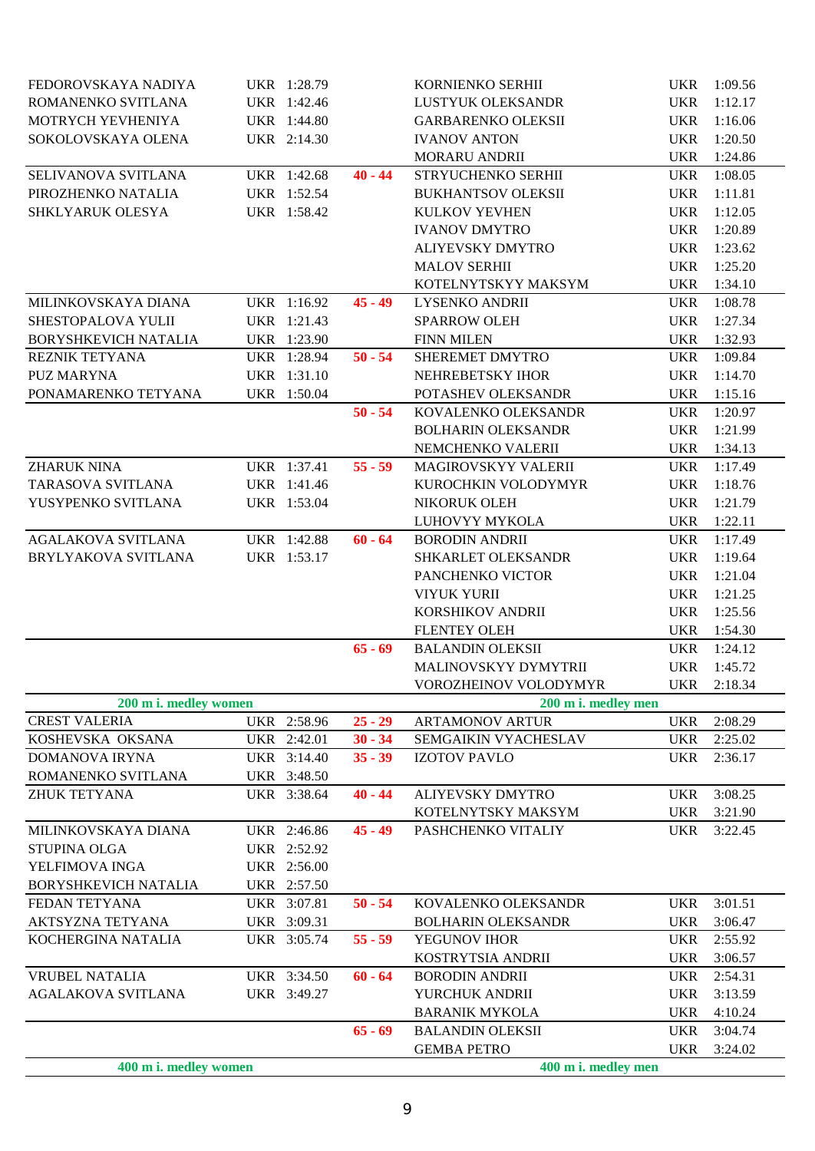| FEDOROVSKAYA NADIYA         | UKR 1:28.79 |           | KORNIENKO SERHII                              |                          | UKR 1:09.56        |
|-----------------------------|-------------|-----------|-----------------------------------------------|--------------------------|--------------------|
| ROMANENKO SVITLANA          | UKR 1:42.46 |           | LUSTYUK OLEKSANDR                             | <b>UKR</b>               | 1:12.17            |
| MOTRYCH YEVHENIYA           | UKR 1:44.80 |           | <b>GARBARENKO OLEKSII</b>                     | <b>UKR</b>               | 1:16.06            |
| SOKOLOVSKAYA OLENA          | UKR 2:14.30 |           | <b>IVANOV ANTON</b>                           | <b>UKR</b>               | 1:20.50            |
|                             |             |           | <b>MORARU ANDRII</b>                          | <b>UKR</b>               | 1:24.86            |
| SELIVANOVA SVITLANA         | UKR 1:42.68 | $40 - 44$ | STRYUCHENKO SERHII                            | <b>UKR</b>               | 1:08.05            |
| PIROZHENKO NATALIA          | UKR 1:52.54 |           | <b>BUKHANTSOV OLEKSII</b>                     | UKR                      | 1:11.81            |
| SHKLYARUK OLESYA            | UKR 1:58.42 |           | <b>KULKOV YEVHEN</b>                          | <b>UKR</b>               | 1:12.05            |
|                             |             |           | <b>IVANOV DMYTRO</b>                          | <b>UKR</b>               | 1:20.89            |
|                             |             |           | ALIYEVSKY DMYTRO                              | <b>UKR</b>               | 1:23.62            |
|                             |             |           | <b>MALOV SERHII</b>                           | <b>UKR</b>               | 1:25.20            |
|                             |             |           | KOTELNYTSKYY MAKSYM                           | <b>UKR</b>               | 1:34.10            |
| MILINKOVSKAYA DIANA         | UKR 1:16.92 | $45 - 49$ | LYSENKO ANDRII                                | <b>UKR</b>               | 1:08.78            |
| SHESTOPALOVA YULII          | UKR 1:21.43 |           | <b>SPARROW OLEH</b>                           | <b>UKR</b>               | 1:27.34            |
| <b>BORYSHKEVICH NATALIA</b> | UKR 1:23.90 |           | <b>FINN MILEN</b>                             | <b>UKR</b>               | 1:32.93            |
| REZNIK TETYANA              | UKR 1:28.94 | $50 - 54$ | SHEREMET DMYTRO                               | <b>UKR</b>               | 1:09.84            |
| <b>PUZ MARYNA</b>           | UKR 1:31.10 |           | NEHREBETSKY IHOR                              | <b>UKR</b>               | 1:14.70            |
| PONAMARENKO TETYANA         | UKR 1:50.04 |           | POTASHEV OLEKSANDR                            | <b>UKR</b>               | 1:15.16            |
|                             |             | $50 - 54$ | KOVALENKO OLEKSANDR                           | <b>UKR</b>               | 1:20.97            |
|                             |             |           | <b>BOLHARIN OLEKSANDR</b>                     | UKR                      | 1:21.99            |
|                             |             |           | NEMCHENKO VALERII                             | <b>UKR</b>               | 1:34.13            |
| <b>ZHARUK NINA</b>          | UKR 1:37.41 | $55 - 59$ | MAGIROVSKYY VALERII                           | <b>UKR</b>               | 1:17.49            |
| TARASOVA SVITLANA           | UKR 1:41.46 |           | KUROCHKIN VOLODYMYR                           | <b>UKR</b>               | 1:18.76            |
| YUSYPENKO SVITLANA          | UKR 1:53.04 |           | NIKORUK OLEH                                  | <b>UKR</b>               | 1:21.79            |
|                             |             |           | LUHOVYY MYKOLA                                | <b>UKR</b>               | 1:22.11            |
| <b>AGALAKOVA SVITLANA</b>   | UKR 1:42.88 | $60 - 64$ | <b>BORODIN ANDRII</b>                         | <b>UKR</b>               | 1:17.49            |
| BRYLYAKOVA SVITLANA         | UKR 1:53.17 |           | SHKARLET OLEKSANDR                            | <b>UKR</b>               | 1:19.64            |
|                             |             |           | PANCHENKO VICTOR                              | <b>UKR</b>               | 1:21.04            |
|                             |             |           | <b>VIYUK YURII</b>                            | <b>UKR</b>               | 1:21.25            |
|                             |             |           | KORSHIKOV ANDRII                              | <b>UKR</b>               | 1:25.56            |
|                             |             |           | <b>FLENTEY OLEH</b>                           | <b>UKR</b>               | 1:54.30            |
|                             |             | $65 - 69$ | <b>BALANDIN OLEKSII</b>                       | <b>UKR</b>               | 1:24.12            |
|                             |             |           | MALINOVSKYY DYMYTRII                          | <b>UKR</b>               | 1:45.72            |
|                             |             |           | VOROZHEINOV VOLODYMYR                         |                          | UKR 2:18.34        |
| 200 m i. medley women       |             |           | 200 m i. medley men                           |                          |                    |
| <b>CREST VALERIA</b>        | UKR 2:58.96 | $25 - 29$ | <b>ARTAMONOV ARTUR</b>                        | <b>UKR</b>               | 2:08.29            |
| KOSHEVSKA OKSANA            | UKR 2:42.01 | $30 - 34$ | SEMGAIKIN VYACHESLAV                          | <b>UKR</b>               | 2:25.02            |
| <b>DOMANOVA IRYNA</b>       | UKR 3:14.40 | $35 - 39$ | <b>IZOTOV PAVLO</b>                           | <b>UKR</b>               | 2:36.17            |
| ROMANENKO SVITLANA          | UKR 3:48.50 |           |                                               |                          |                    |
| <b>ZHUK TETYANA</b>         | UKR 3:38.64 | $40 - 44$ | ALIYEVSKY DMYTRO                              | <b>UKR</b>               | 3:08.25            |
|                             |             |           | KOTELNYTSKY MAKSYM                            | <b>UKR</b>               | 3:21.90            |
| MILINKOVSKAYA DIANA         | UKR 2:46.86 | $45 - 49$ | PASHCHENKO VITALIY                            | <b>UKR</b>               | 3:22.45            |
| <b>STUPINA OLGA</b>         | UKR 2:52.92 |           |                                               |                          |                    |
| YELFIMOVA INGA              | UKR 2:56.00 |           |                                               |                          |                    |
| BORYSHKEVICH NATALIA        | UKR 2:57.50 |           |                                               |                          |                    |
| FEDAN TETYANA               | UKR 3:07.81 | $50 - 54$ | KOVALENKO OLEKSANDR                           | <b>UKR</b>               | 3:01.51            |
| AKTSYZNA TETYANA            | UKR 3:09.31 |           | <b>BOLHARIN OLEKSANDR</b>                     | <b>UKR</b>               | 3:06.47            |
| KOCHERGINA NATALIA          | UKR 3:05.74 | $55 - 59$ | YEGUNOV IHOR<br>KOSTRYTSIA ANDRII             | <b>UKR</b>               | 2:55.92<br>3:06.57 |
| <b>VRUBEL NATALIA</b>       | UKR 3:34.50 | $60 - 64$ | <b>BORODIN ANDRII</b>                         | <b>UKR</b>               | 2:54.31            |
| <b>AGALAKOVA SVITLANA</b>   |             |           | YURCHUK ANDRII                                | <b>UKR</b>               |                    |
|                             | UKR 3:49.27 |           |                                               | <b>UKR</b>               | 3:13.59            |
|                             |             | $65 - 69$ | <b>BARANIK MYKOLA</b>                         | <b>UKR</b>               | 4:10.24            |
|                             |             |           | <b>BALANDIN OLEKSII</b><br><b>GEMBA PETRO</b> | <b>UKR</b><br><b>UKR</b> | 3:04.74<br>3:24.02 |
| 400 m i. medley women       |             |           | 400 m i. medley men                           |                          |                    |
|                             |             |           |                                               |                          |                    |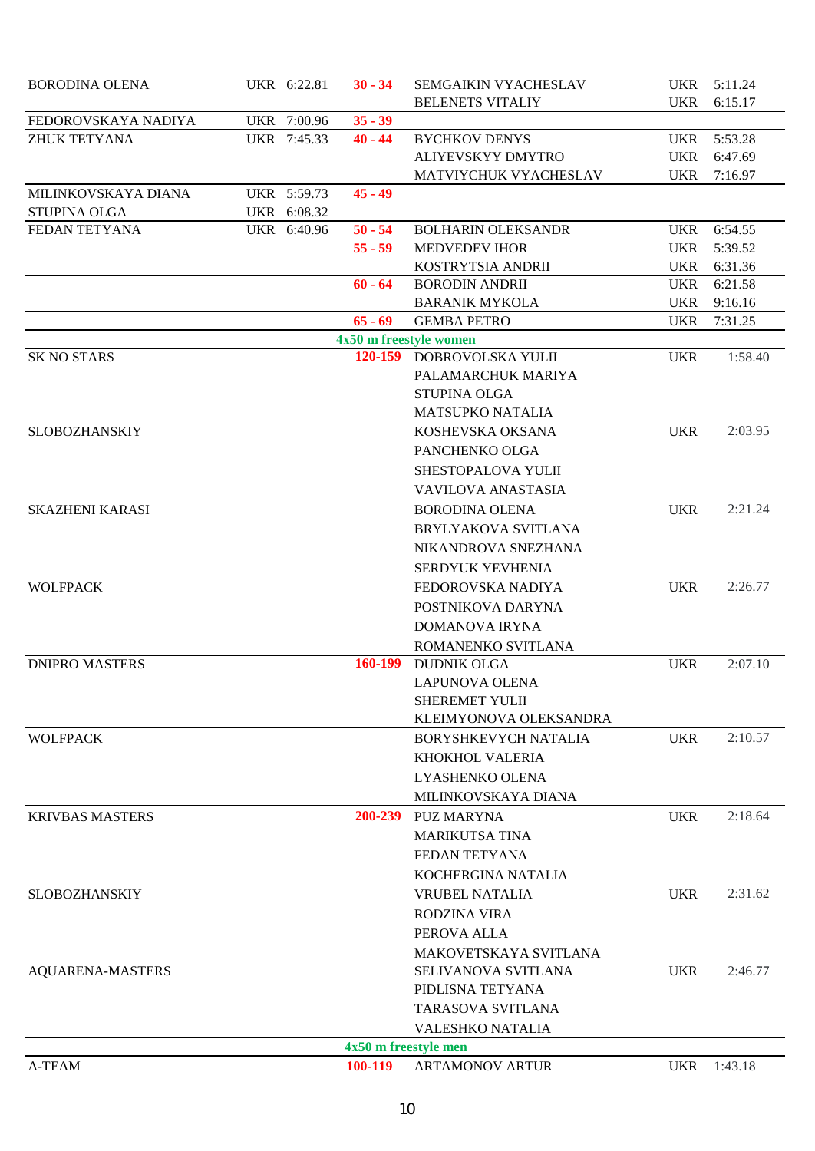| <b>BORODINA OLENA</b>   | UKR 6:22.81 | $30 - 34$            | SEMGAIKIN VYACHESLAV                                |            | UKR 5:11.24 |
|-------------------------|-------------|----------------------|-----------------------------------------------------|------------|-------------|
|                         |             |                      | <b>BELENETS VITALIY</b>                             | <b>UKR</b> | 6:15.17     |
| FEDOROVSKAYA NADIYA     | UKR 7:00.96 | $35 - 39$            |                                                     |            |             |
| <b>ZHUK TETYANA</b>     | UKR 7:45.33 | $40 - 44$            | <b>BYCHKOV DENYS</b>                                | UKR        | 5:53.28     |
|                         |             |                      | ALIYEVSKYY DMYTRO                                   | UKR        | 6:47.69     |
|                         |             |                      | MATVIYCHUK VYACHESLAV                               | <b>UKR</b> | 7:16.97     |
| MILINKOVSKAYA DIANA     | UKR 5:59.73 | $45 - 49$            |                                                     |            |             |
| <b>STUPINA OLGA</b>     | UKR 6:08.32 |                      |                                                     |            |             |
| FEDAN TETYANA           | UKR 6:40.96 | $50 - 54$            | <b>BOLHARIN OLEKSANDR</b>                           | UKR        | 6:54.55     |
|                         |             | $55 - 59$            | <b>MEDVEDEV IHOR</b>                                | <b>UKR</b> | 5:39.52     |
|                         |             |                      | KOSTRYTSIA ANDRII                                   | <b>UKR</b> | 6:31.36     |
|                         |             | $60 - 64$            | <b>BORODIN ANDRII</b>                               | <b>UKR</b> | 6:21.58     |
|                         |             |                      | <b>BARANIK MYKOLA</b>                               | <b>UKR</b> | 9:16.16     |
|                         |             | $65 - 69$            | <b>GEMBA PETRO</b>                                  | <b>UKR</b> | 7:31.25     |
| <b>SK NO STARS</b>      |             |                      | 4x50 m freestyle women<br>120-159 DOBROVOLSKA YULII | <b>UKR</b> | 1:58.40     |
|                         |             |                      | PALAMARCHUK MARIYA                                  |            |             |
|                         |             |                      | STUPINA OLGA                                        |            |             |
|                         |             |                      | <b>MATSUPKO NATALIA</b>                             |            |             |
| <b>SLOBOZHANSKIY</b>    |             |                      | KOSHEVSKA OKSANA                                    | <b>UKR</b> | 2:03.95     |
|                         |             |                      | PANCHENKO OLGA                                      |            |             |
|                         |             |                      |                                                     |            |             |
|                         |             |                      | SHESTOPALOVA YULII                                  |            |             |
|                         |             |                      | <b>VAVILOVA ANASTASIA</b>                           |            |             |
| <b>SKAZHENI KARASI</b>  |             |                      | <b>BORODINA OLENA</b>                               | <b>UKR</b> | 2:21.24     |
|                         |             |                      | BRYLYAKOVA SVITLANA                                 |            |             |
|                         |             |                      | NIKANDROVA SNEZHANA                                 |            |             |
|                         |             |                      | SERDYUK YEVHENIA                                    |            |             |
| <b>WOLFPACK</b>         |             |                      | FEDOROVSKA NADIYA                                   | <b>UKR</b> | 2:26.77     |
|                         |             |                      | POSTNIKOVA DARYNA                                   |            |             |
|                         |             |                      | DOMANOVA IRYNA                                      |            |             |
|                         |             |                      | ROMANENKO SVITLANA                                  |            |             |
| <b>DNIPRO MASTERS</b>   |             |                      | 160-199 DUDNIK OLGA                                 | <b>UKR</b> | 2:07.10     |
|                         |             |                      | LAPUNOVA OLENA                                      |            |             |
|                         |             |                      | SHEREMET YULII                                      |            |             |
|                         |             |                      | KLEIMYONOVA OLEKSANDRA                              |            |             |
| <b>WOLFPACK</b>         |             |                      | BORYSHKEVYCH NATALIA                                | <b>UKR</b> | 2:10.57     |
|                         |             |                      | KHOKHOL VALERIA                                     |            |             |
|                         |             |                      | LYASHENKO OLENA                                     |            |             |
|                         |             |                      | MILINKOVSKAYA DIANA                                 |            |             |
| <b>KRIVBAS MASTERS</b>  |             | 200-239              | PUZ MARYNA                                          | <b>UKR</b> | 2:18.64     |
|                         |             |                      | <b>MARIKUTSA TINA</b>                               |            |             |
|                         |             |                      | FEDAN TETYANA                                       |            |             |
|                         |             |                      | KOCHERGINA NATALIA                                  |            |             |
| <b>SLOBOZHANSKIY</b>    |             |                      | <b>VRUBEL NATALIA</b>                               | <b>UKR</b> | 2:31.62     |
|                         |             |                      | <b>RODZINA VIRA</b>                                 |            |             |
|                         |             |                      | PEROVA ALLA                                         |            |             |
|                         |             |                      | MAKOVETSKAYA SVITLANA                               |            |             |
| <b>AQUARENA-MASTERS</b> |             |                      | <b>SELIVANOVA SVITLANA</b>                          | <b>UKR</b> | 2:46.77     |
|                         |             |                      | PIDLISNA TETYANA                                    |            |             |
|                         |             |                      | TARASOVA SVITLANA                                   |            |             |
|                         |             |                      | <b>VALESHKO NATALIA</b>                             |            |             |
|                         |             | 4x50 m freestyle men |                                                     |            |             |
| A-TEAM                  |             | 100-119              | <b>ARTAMONOV ARTUR</b>                              | <b>UKR</b> | 1:43.18     |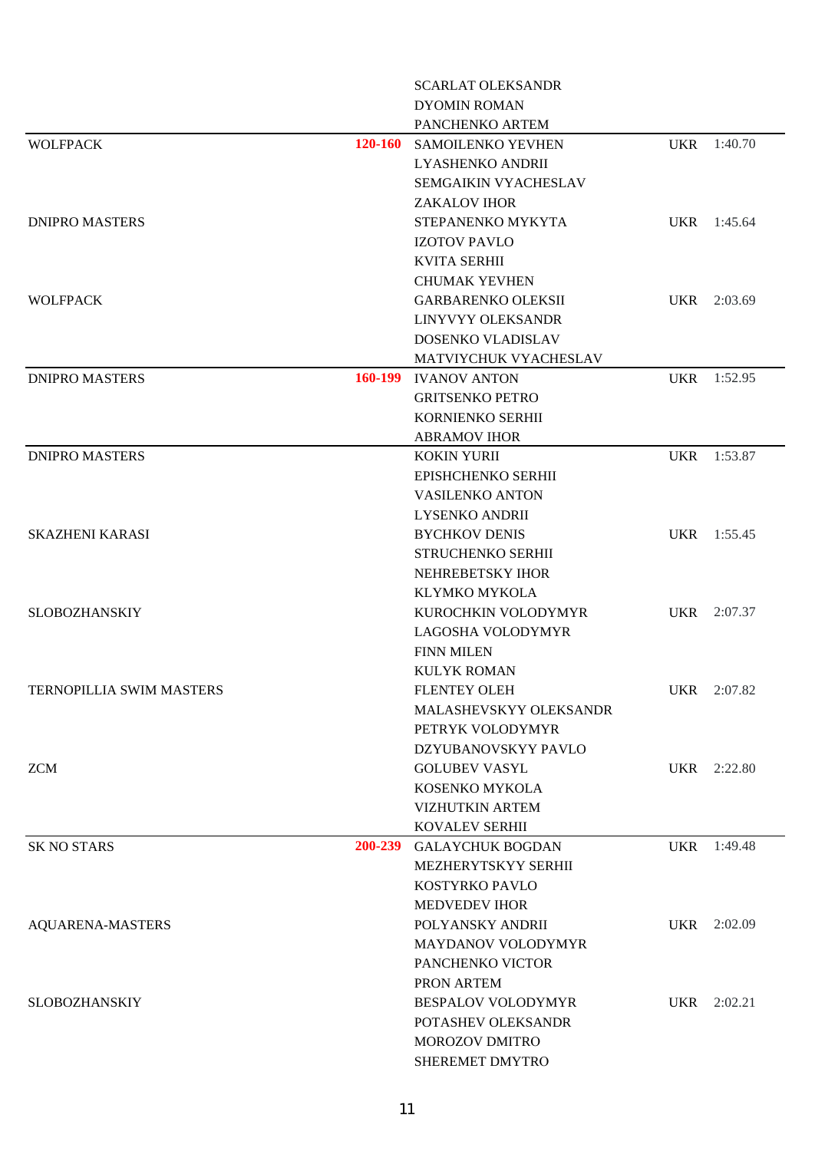|                          |                | <b>SCARLAT OLEKSANDR</b>  |            |             |
|--------------------------|----------------|---------------------------|------------|-------------|
|                          |                | <b>DYOMIN ROMAN</b>       |            |             |
|                          |                | PANCHENKO ARTEM           |            |             |
| <b>WOLFPACK</b>          | <b>120-160</b> | SAMOILENKO YEVHEN         |            | UKR 1:40.70 |
|                          |                | LYASHENKO ANDRII          |            |             |
|                          |                | SEMGAIKIN VYACHESLAV      |            |             |
|                          |                | <b>ZAKALOV IHOR</b>       |            |             |
| <b>DNIPRO MASTERS</b>    |                | STEPANENKO MYKYTA         |            | UKR 1:45.64 |
|                          |                | <b>IZOTOV PAVLO</b>       |            |             |
|                          |                | <b>KVITA SERHII</b>       |            |             |
|                          |                | <b>CHUMAK YEVHEN</b>      |            |             |
| <b>WOLFPACK</b>          |                | <b>GARBARENKO OLEKSII</b> |            | UKR 2:03.69 |
|                          |                | LINYVYY OLEKSANDR         |            |             |
|                          |                | DOSENKO VLADISLAV         |            |             |
|                          |                | MATVIYCHUK VYACHESLAV     |            |             |
| <b>DNIPRO MASTERS</b>    | 160-199        | <b>IVANOV ANTON</b>       | <b>UKR</b> | 1:52.95     |
|                          |                | <b>GRITSENKO PETRO</b>    |            |             |
|                          |                | KORNIENKO SERHII          |            |             |
|                          |                | <b>ABRAMOV IHOR</b>       |            |             |
| <b>DNIPRO MASTERS</b>    |                | <b>KOKIN YURII</b>        |            | UKR 1:53.87 |
|                          |                | EPISHCHENKO SERHII        |            |             |
|                          |                | <b>VASILENKO ANTON</b>    |            |             |
|                          |                | <b>LYSENKO ANDRII</b>     |            |             |
| <b>SKAZHENI KARASI</b>   |                | <b>BYCHKOV DENIS</b>      |            | UKR 1:55.45 |
|                          |                | <b>STRUCHENKO SERHII</b>  |            |             |
|                          |                | NEHREBETSKY IHOR          |            |             |
|                          |                | KLYMKO MYKOLA             |            |             |
| <b>SLOBOZHANSKIY</b>     |                | KUROCHKIN VOLODYMYR       |            | UKR 2:07.37 |
|                          |                | LAGOSHA VOLODYMYR         |            |             |
|                          |                | <b>FINN MILEN</b>         |            |             |
|                          |                | <b>KULYK ROMAN</b>        |            |             |
| TERNOPILLIA SWIM MASTERS |                | <b>FLENTEY OLEH</b>       |            | UKR 2:07.82 |
|                          |                | MALASHEVSKYY OLEKSANDR    |            |             |
|                          |                | PETRYK VOLODYMYR          |            |             |
|                          |                | DZYUBANOVSKYY PAVLO       |            |             |
| <b>ZCM</b>               |                | <b>GOLUBEV VASYL</b>      |            | UKR 2:22.80 |
|                          |                | KOSENKO MYKOLA            |            |             |
|                          |                | <b>VIZHUTKIN ARTEM</b>    |            |             |
|                          |                | KOVALEV SERHII            |            |             |
| <b>SK NO STARS</b>       | 200-239        | <b>GALAYCHUK BOGDAN</b>   | <b>UKR</b> | 1:49.48     |
|                          |                | MEZHERYTSKYY SERHII       |            |             |
|                          |                | KOSTYRKO PAVLO            |            |             |
|                          |                | <b>MEDVEDEV IHOR</b>      |            |             |
|                          |                | POLYANSKY ANDRII          |            | UKR 2:02.09 |
| <b>AQUARENA-MASTERS</b>  |                | MAYDANOV VOLODYMYR        |            |             |
|                          |                |                           |            |             |
|                          |                | PANCHENKO VICTOR          |            |             |
|                          |                | PRON ARTEM                |            |             |
| <b>SLOBOZHANSKIY</b>     |                | <b>BESPALOV VOLODYMYR</b> |            | UKR 2:02.21 |
|                          |                | POTASHEV OLEKSANDR        |            |             |
|                          |                | MOROZOV DMITRO            |            |             |
|                          |                | SHEREMET DMYTRO           |            |             |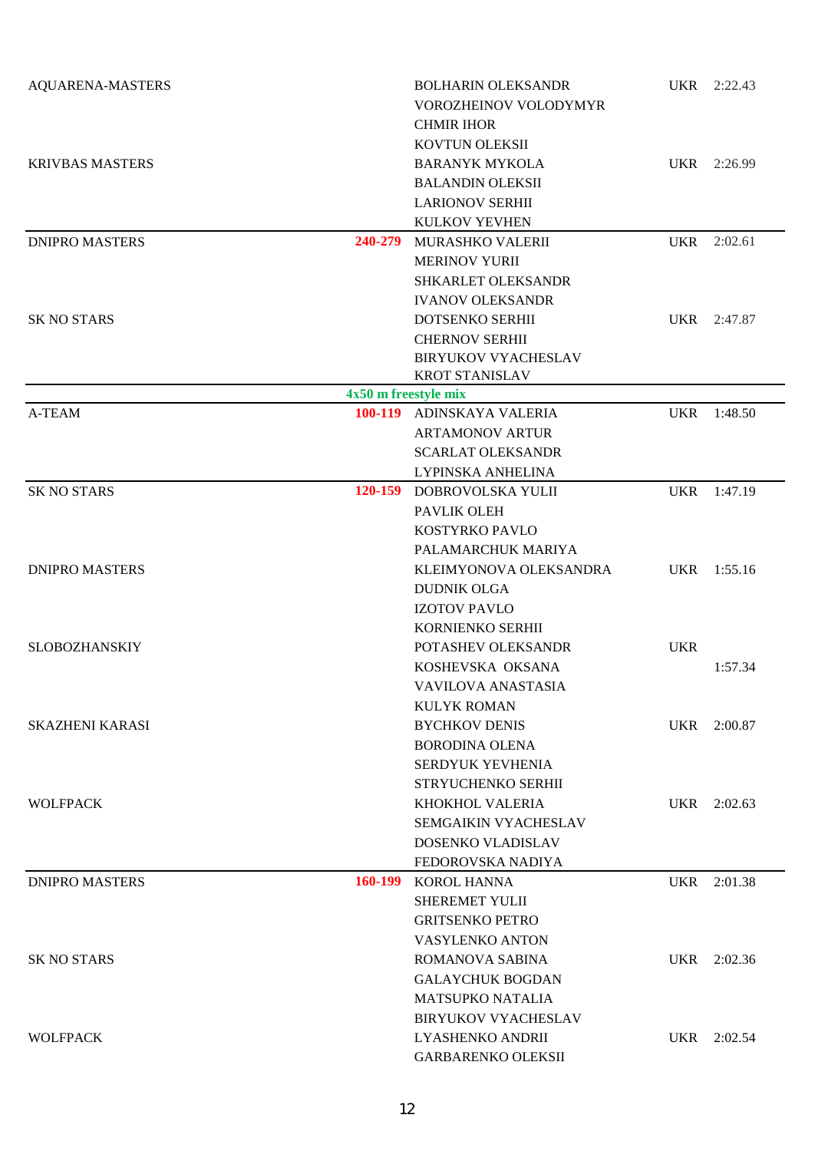| <b>AQUARENA-MASTERS</b> |                      | <b>BOLHARIN OLEKSANDR</b><br>VOROZHEINOV VOLODYMYR<br><b>CHMIR IHOR</b><br>KOVTUN OLEKSII                  |            | UKR 2:22.43 |
|-------------------------|----------------------|------------------------------------------------------------------------------------------------------------|------------|-------------|
| <b>KRIVBAS MASTERS</b>  |                      | <b>BARANYK MYKOLA</b><br><b>BALANDIN OLEKSII</b><br><b>LARIONOV SERHII</b><br>KULKOV YEVHEN                |            | UKR 2:26.99 |
| <b>DNIPRO MASTERS</b>   | 240-279              | MURASHKO VALERII<br><b>MERINOV YURII</b><br>SHKARLET OLEKSANDR<br><b>IVANOV OLEKSANDR</b>                  | <b>UKR</b> | 2:02.61     |
| <b>SK NO STARS</b>      |                      | DOTSENKO SERHII<br><b>CHERNOV SERHII</b><br><b>BIRYUKOV VYACHESLAV</b><br><b>KROT STANISLAV</b>            | <b>UKR</b> | 2:47.87     |
|                         | 4x50 m freestyle mix |                                                                                                            |            |             |
| A-TEAM                  |                      | 100-119 ADINSKAYA VALERIA<br><b>ARTAMONOV ARTUR</b><br><b>SCARLAT OLEKSANDR</b><br>LYPINSKA ANHELINA       | <b>UKR</b> | 1:48.50     |
| <b>SK NO STARS</b>      |                      | 120-159 DOBROVOLSKA YULII<br>PAVLIK OLEH<br>KOSTYRKO PAVLO<br>PALAMARCHUK MARIYA                           | <b>UKR</b> | 1:47.19     |
| <b>DNIPRO MASTERS</b>   |                      | KLEIMYONOVA OLEKSANDRA<br><b>DUDNIK OLGA</b><br><b>IZOTOV PAVLO</b><br>KORNIENKO SERHII                    | <b>UKR</b> | 1:55.16     |
| <b>SLOBOZHANSKIY</b>    |                      | POTASHEV OLEKSANDR<br>KOSHEVSKA OKSANA<br>VAVILOVA ANASTASIA<br><b>KULYK ROMAN</b>                         | <b>UKR</b> | 1:57.34     |
| <b>SKAZHENI KARASI</b>  |                      | <b>BYCHKOV DENIS</b><br><b>BORODINA OLENA</b><br>SERDYUK YEVHENIA<br>STRYUCHENKO SERHII                    | <b>UKR</b> | 2:00.87     |
| <b>WOLFPACK</b>         |                      | KHOKHOL VALERIA<br>SEMGAIKIN VYACHESLAV<br>DOSENKO VLADISLAV<br>FEDOROVSKA NADIYA                          | <b>UKR</b> | 2:02.63     |
| <b>DNIPRO MASTERS</b>   | 160-199              | <b>KOROL HANNA</b><br><b>SHEREMET YULII</b><br><b>GRITSENKO PETRO</b><br><b>VASYLENKO ANTON</b>            | <b>UKR</b> | 2:01.38     |
| <b>SK NO STARS</b>      |                      | <b>ROMANOVA SABINA</b><br><b>GALAYCHUK BOGDAN</b><br><b>MATSUPKO NATALIA</b><br><b>BIRYUKOV VYACHESLAV</b> | <b>UKR</b> | 2:02.36     |
| <b>WOLFPACK</b>         |                      | LYASHENKO ANDRII<br><b>GARBARENKO OLEKSII</b>                                                              | <b>UKR</b> | 2:02.54     |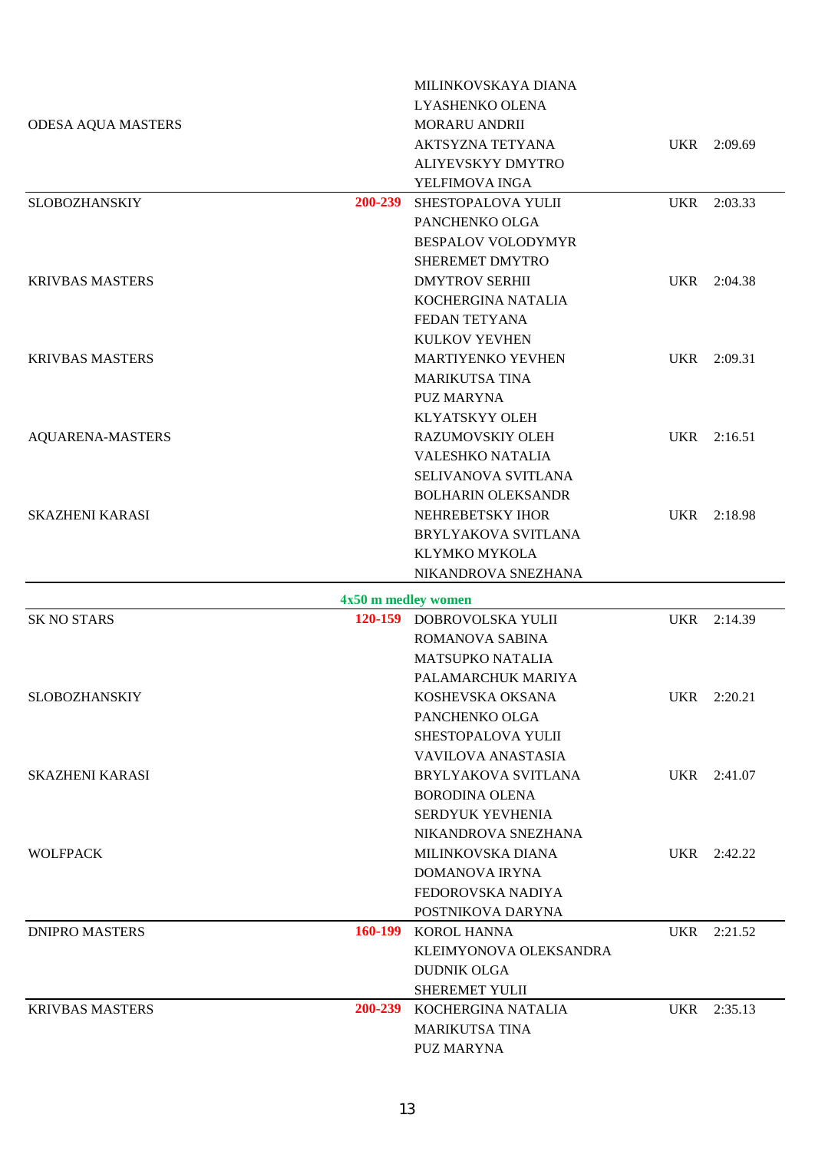|                           |                     | MILINKOVSKAYA DIANA        |            |             |
|---------------------------|---------------------|----------------------------|------------|-------------|
|                           |                     | LYASHENKO OLENA            |            |             |
| <b>ODESA AQUA MASTERS</b> |                     | <b>MORARU ANDRII</b>       |            |             |
|                           |                     | AKTSYZNA TETYANA           |            | UKR 2:09.69 |
|                           |                     | ALIYEVSKYY DMYTRO          |            |             |
|                           |                     | YELFIMOVA INGA             |            |             |
| <b>SLOBOZHANSKIY</b>      |                     | 200-239 SHESTOPALOVA YULII | <b>UKR</b> | 2:03.33     |
|                           |                     | PANCHENKO OLGA             |            |             |
|                           |                     | <b>BESPALOV VOLODYMYR</b>  |            |             |
|                           |                     | SHEREMET DMYTRO            |            |             |
| <b>KRIVBAS MASTERS</b>    |                     | <b>DMYTROV SERHII</b>      | UKR        | 2:04.38     |
|                           |                     | KOCHERGINA NATALIA         |            |             |
|                           |                     | FEDAN TETYANA              |            |             |
|                           |                     | KULKOV YEVHEN              |            |             |
| <b>KRIVBAS MASTERS</b>    |                     | <b>MARTIYENKO YEVHEN</b>   | UKR        | 2:09.31     |
|                           |                     | <b>MARIKUTSA TINA</b>      |            |             |
|                           |                     | <b>PUZ MARYNA</b>          |            |             |
|                           |                     | KLYATSKYY OLEH             |            |             |
| <b>AQUARENA-MASTERS</b>   |                     | RAZUMOVSKIY OLEH           |            | UKR 2:16.51 |
|                           |                     | VALESHKO NATALIA           |            |             |
|                           |                     | SELIVANOVA SVITLANA        |            |             |
|                           |                     | <b>BOLHARIN OLEKSANDR</b>  |            |             |
| <b>SKAZHENI KARASI</b>    |                     | NEHREBETSKY IHOR           |            | UKR 2:18.98 |
|                           |                     | BRYLYAKOVA SVITLANA        |            |             |
|                           |                     | KLYMKO MYKOLA              |            |             |
|                           |                     | NIKANDROVA SNEZHANA        |            |             |
|                           | 4x50 m medley women |                            |            |             |
| <b>SK NO STARS</b>        |                     | 120-159 DOBROVOLSKA YULII  |            | UKR 2:14.39 |
|                           |                     | ROMANOVA SABINA            |            |             |
|                           |                     | <b>MATSUPKO NATALIA</b>    |            |             |
|                           |                     | PALAMARCHUK MARIYA         |            |             |
| SLOBOZHANSKIY             |                     | KOSHEVSKA OKSANA           |            | UKR 2:20.21 |
|                           |                     | PANCHENKO OLGA             |            |             |
|                           |                     | SHESTOPALOVA YULII         |            |             |
|                           |                     | <b>VAVILOVA ANASTASIA</b>  |            |             |
| <b>SKAZHENI KARASI</b>    |                     | BRYLYAKOVA SVITLANA        |            | UKR 2:41.07 |
|                           |                     | <b>BORODINA OLENA</b>      |            |             |
|                           |                     | SERDYUK YEVHENIA           |            |             |
|                           |                     | NIKANDROVA SNEZHANA        |            |             |
| <b>WOLFPACK</b>           |                     | MILINKOVSKA DIANA          |            | UKR 2:42.22 |
|                           |                     | DOMANOVA IRYNA             |            |             |
|                           |                     | FEDOROVSKA NADIYA          |            |             |
|                           |                     | POSTNIKOVA DARYNA          |            |             |
| <b>DNIPRO MASTERS</b>     |                     | 160-199 KOROL HANNA        | UKR        | 2:21.52     |
|                           |                     | KLEIMYONOVA OLEKSANDRA     |            |             |
|                           |                     | <b>DUDNIK OLGA</b>         |            |             |
|                           |                     | SHEREMET YULII             |            |             |
| <b>KRIVBAS MASTERS</b>    |                     | 200-239 KOCHERGINA NATALIA | <b>UKR</b> | 2:35.13     |
|                           |                     | <b>MARIKUTSA TINA</b>      |            |             |
|                           |                     | <b>PUZ MARYNA</b>          |            |             |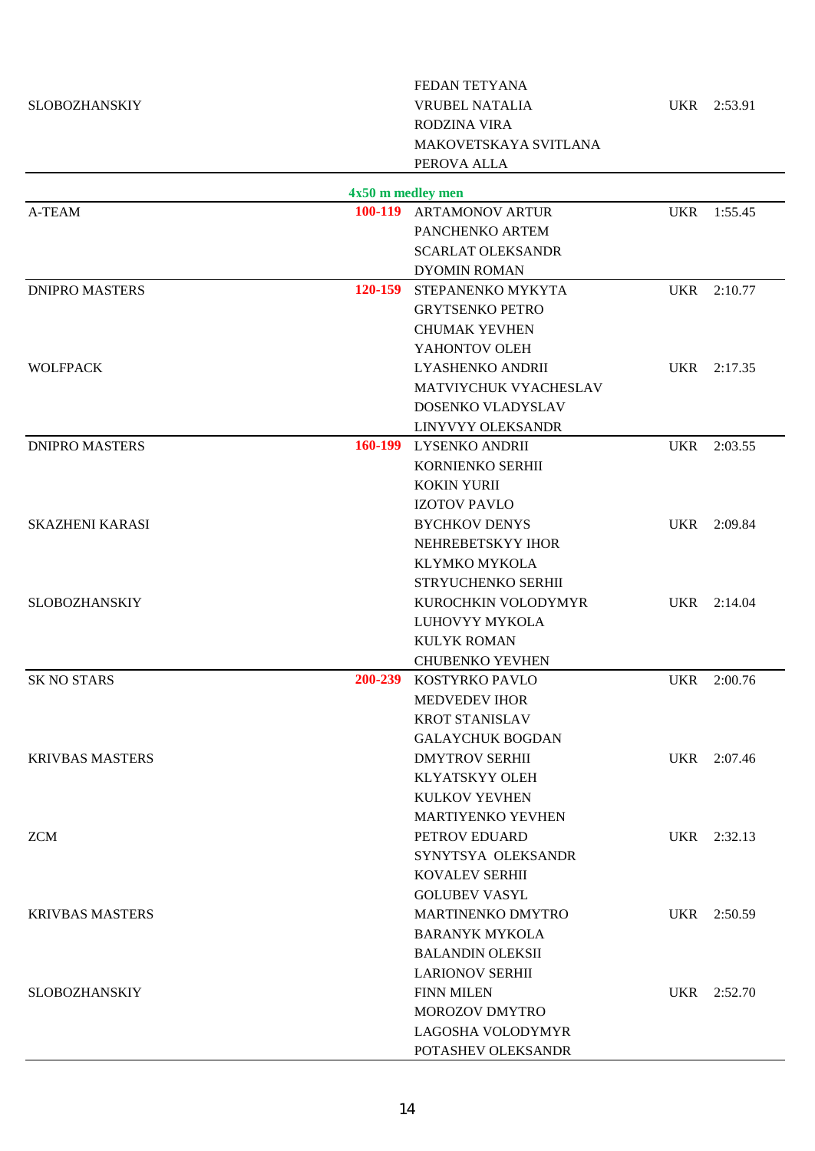|                        |                   | FEDAN TETYANA            |            |             |
|------------------------|-------------------|--------------------------|------------|-------------|
| <b>SLOBOZHANSKIY</b>   |                   | <b>VRUBEL NATALIA</b>    |            | UKR 2:53.91 |
|                        |                   | RODZINA VIRA             |            |             |
|                        |                   | MAKOVETSKAYA SVITLANA    |            |             |
|                        |                   | PEROVA ALLA              |            |             |
|                        | 4x50 m medley men |                          |            |             |
| A-TEAM                 |                   | 100-119 ARTAMONOV ARTUR  | <b>UKR</b> | 1:55.45     |
|                        |                   | PANCHENKO ARTEM          |            |             |
|                        |                   | <b>SCARLAT OLEKSANDR</b> |            |             |
|                        |                   | <b>DYOMIN ROMAN</b>      |            |             |
| <b>DNIPRO MASTERS</b>  | 120-159           | STEPANENKO MYKYTA        |            | UKR 2:10.77 |
|                        |                   | <b>GRYTSENKO PETRO</b>   |            |             |
|                        |                   | <b>CHUMAK YEVHEN</b>     |            |             |
|                        |                   | YAHONTOV OLEH            |            |             |
| <b>WOLFPACK</b>        |                   | LYASHENKO ANDRII         |            | UKR 2:17.35 |
|                        |                   | MATVIYCHUK VYACHESLAV    |            |             |
|                        |                   | DOSENKO VLADYSLAV        |            |             |
|                        |                   | LINYVYY OLEKSANDR        |            |             |
| <b>DNIPRO MASTERS</b>  |                   | 160-199 LYSENKO ANDRII   |            | UKR 2:03.55 |
|                        |                   | KORNIENKO SERHII         |            |             |
|                        |                   | <b>KOKIN YURII</b>       |            |             |
|                        |                   | <b>IZOTOV PAVLO</b>      |            |             |
| <b>SKAZHENI KARASI</b> |                   | <b>BYCHKOV DENYS</b>     |            | UKR 2:09.84 |
|                        |                   | NEHREBETSKYY IHOR        |            |             |
|                        |                   | KLYMKO MYKOLA            |            |             |
|                        |                   | STRYUCHENKO SERHII       |            |             |
| <b>SLOBOZHANSKIY</b>   |                   | KUROCHKIN VOLODYMYR      |            | UKR 2:14.04 |
|                        |                   | LUHOVYY MYKOLA           |            |             |
|                        |                   | <b>KULYK ROMAN</b>       |            |             |
|                        |                   | <b>CHUBENKO YEVHEN</b>   |            |             |
| <b>SK NO STARS</b>     | 200-239           | KOSTYRKO PAVLO           |            | UKR 2:00.76 |
|                        |                   | <b>MEDVEDEV IHOR</b>     |            |             |
|                        |                   | <b>KROT STANISLAV</b>    |            |             |
|                        |                   | <b>GALAYCHUK BOGDAN</b>  |            |             |
| <b>KRIVBAS MASTERS</b> |                   | <b>DMYTROV SERHII</b>    |            | UKR 2:07.46 |
|                        |                   | <b>KLYATSKYY OLEH</b>    |            |             |
|                        |                   | <b>KULKOV YEVHEN</b>     |            |             |
|                        |                   | <b>MARTIYENKO YEVHEN</b> |            |             |
| <b>ZCM</b>             |                   | PETROV EDUARD            |            | UKR 2:32.13 |
|                        |                   | SYNYTSYA OLEKSANDR       |            |             |
|                        |                   | <b>KOVALEV SERHII</b>    |            |             |
|                        |                   | <b>GOLUBEV VASYL</b>     |            |             |
| <b>KRIVBAS MASTERS</b> |                   | <b>MARTINENKO DMYTRO</b> |            | UKR 2:50.59 |
|                        |                   | <b>BARANYK MYKOLA</b>    |            |             |
|                        |                   | <b>BALANDIN OLEKSII</b>  |            |             |
|                        |                   | <b>LARIONOV SERHII</b>   |            |             |
| <b>SLOBOZHANSKIY</b>   |                   | <b>FINN MILEN</b>        |            | UKR 2:52.70 |
|                        |                   | MOROZOV DMYTRO           |            |             |
|                        |                   | LAGOSHA VOLODYMYR        |            |             |
|                        |                   | POTASHEV OLEKSANDR       |            |             |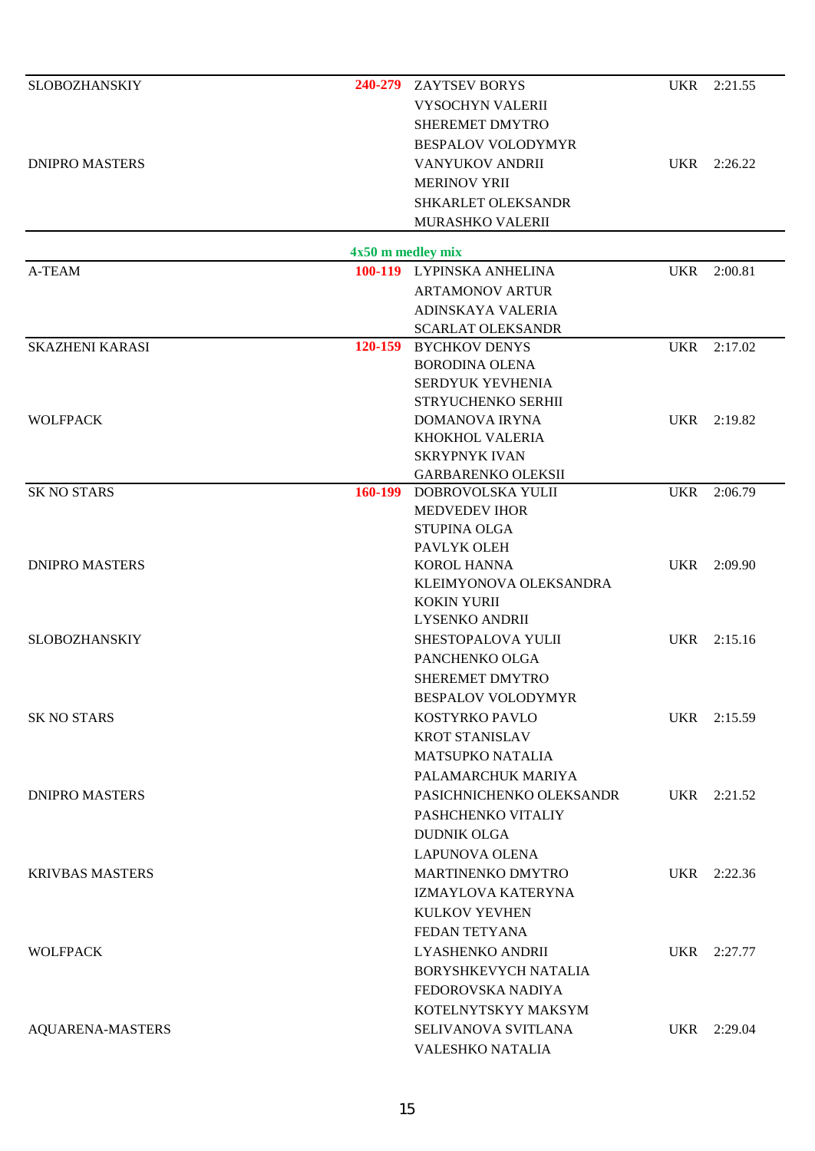| <b>SLOBOZHANSKIY</b>                                                                     |                     | 240-279 ZAYTSEV BORYS                    |            | UKR 2:21.55 |
|------------------------------------------------------------------------------------------|---------------------|------------------------------------------|------------|-------------|
|                                                                                          |                     | <b>VYSOCHYN VALERII</b>                  |            |             |
|                                                                                          |                     | SHEREMET DMYTRO                          |            |             |
|                                                                                          |                     | <b>BESPALOV VOLODYMYR</b>                |            |             |
| <b>DNIPRO MASTERS</b>                                                                    |                     | <b>VANYUKOV ANDRII</b>                   |            | UKR 2:26.22 |
|                                                                                          |                     | <b>MERINOV YRII</b>                      |            |             |
|                                                                                          |                     | SHKARLET OLEKSANDR                       |            |             |
|                                                                                          |                     | MURASHKO VALERII                         |            |             |
|                                                                                          |                     |                                          |            |             |
|                                                                                          | $4x50$ m medley mix |                                          |            |             |
| A-TEAM                                                                                   |                     | 100-119 LYPINSKA ANHELINA                | <b>UKR</b> | 2:00.81     |
|                                                                                          |                     | <b>ARTAMONOV ARTUR</b>                   |            |             |
|                                                                                          |                     | ADINSKAYA VALERIA                        |            |             |
|                                                                                          |                     | <b>SCARLAT OLEKSANDR</b>                 |            |             |
| <b>SKAZHENI KARASI</b>                                                                   |                     | 120-159 BYCHKOV DENYS                    |            | UKR 2:17.02 |
|                                                                                          |                     | <b>BORODINA OLENA</b>                    |            |             |
|                                                                                          |                     | SERDYUK YEVHENIA                         |            |             |
| <b>WOLFPACK</b>                                                                          |                     | STRYUCHENKO SERHII                       |            |             |
|                                                                                          |                     | <b>DOMANOVA IRYNA</b><br>KHOKHOL VALERIA |            | UKR 2:19.82 |
|                                                                                          |                     | <b>SKRYPNYK IVAN</b>                     |            |             |
|                                                                                          |                     | <b>GARBARENKO OLEKSII</b>                |            |             |
| <b>SK NO STARS</b>                                                                       | 160-199             | DOBROVOLSKA YULII                        | UKR        | 2:06.79     |
|                                                                                          |                     | <b>MEDVEDEV IHOR</b>                     |            |             |
|                                                                                          |                     | <b>STUPINA OLGA</b>                      |            |             |
|                                                                                          |                     | PAVLYK OLEH                              |            |             |
| <b>DNIPRO MASTERS</b>                                                                    |                     | <b>KOROL HANNA</b>                       | UKR        | 2:09.90     |
|                                                                                          |                     | KLEIMYONOVA OLEKSANDRA                   |            |             |
|                                                                                          |                     | <b>KOKIN YURII</b>                       |            |             |
|                                                                                          |                     | LYSENKO ANDRII                           |            |             |
| <b>SLOBOZHANSKIY</b>                                                                     |                     | SHESTOPALOVA YULII                       |            | UKR 2:15.16 |
|                                                                                          |                     | PANCHENKO OLGA                           |            |             |
|                                                                                          |                     | <b>SHEREMET DMYTRO</b>                   |            |             |
|                                                                                          |                     | <b>BESPALOV VOLODYMYR</b>                |            |             |
| <b>SK NO STARS</b><br><b>DNIPRO MASTERS</b><br><b>KRIVBAS MASTERS</b><br><b>WOLFPACK</b> |                     | KOSTYRKO PAVLO                           |            | UKR 2:15.59 |
|                                                                                          |                     | <b>KROT STANISLAV</b>                    |            |             |
|                                                                                          |                     | <b>MATSUPKO NATALIA</b>                  |            |             |
|                                                                                          |                     | PALAMARCHUK MARIYA                       |            |             |
|                                                                                          |                     | PASICHNICHENKO OLEKSANDR                 |            | UKR 2:21.52 |
|                                                                                          |                     | PASHCHENKO VITALIY                       |            |             |
|                                                                                          |                     | <b>DUDNIK OLGA</b>                       |            |             |
|                                                                                          |                     | <b>LAPUNOVA OLENA</b>                    |            |             |
|                                                                                          |                     | <b>MARTINENKO DMYTRO</b>                 |            | UKR 2:22.36 |
|                                                                                          |                     | IZMAYLOVA KATERYNA                       |            |             |
|                                                                                          |                     | KULKOV YEVHEN                            |            |             |
|                                                                                          |                     | FEDAN TETYANA                            |            |             |
|                                                                                          |                     | LYASHENKO ANDRII                         |            | UKR 2:27.77 |
|                                                                                          |                     |                                          |            |             |
|                                                                                          |                     | <b>BORYSHKEVYCH NATALIA</b>              |            |             |
|                                                                                          |                     | FEDOROVSKA NADIYA                        |            |             |
|                                                                                          |                     | KOTELNYTSKYY MAKSYM                      |            |             |
| <b>AQUARENA-MASTERS</b>                                                                  |                     | SELIVANOVA SVITLANA                      |            | UKR 2:29.04 |
|                                                                                          |                     | VALESHKO NATALIA                         |            |             |